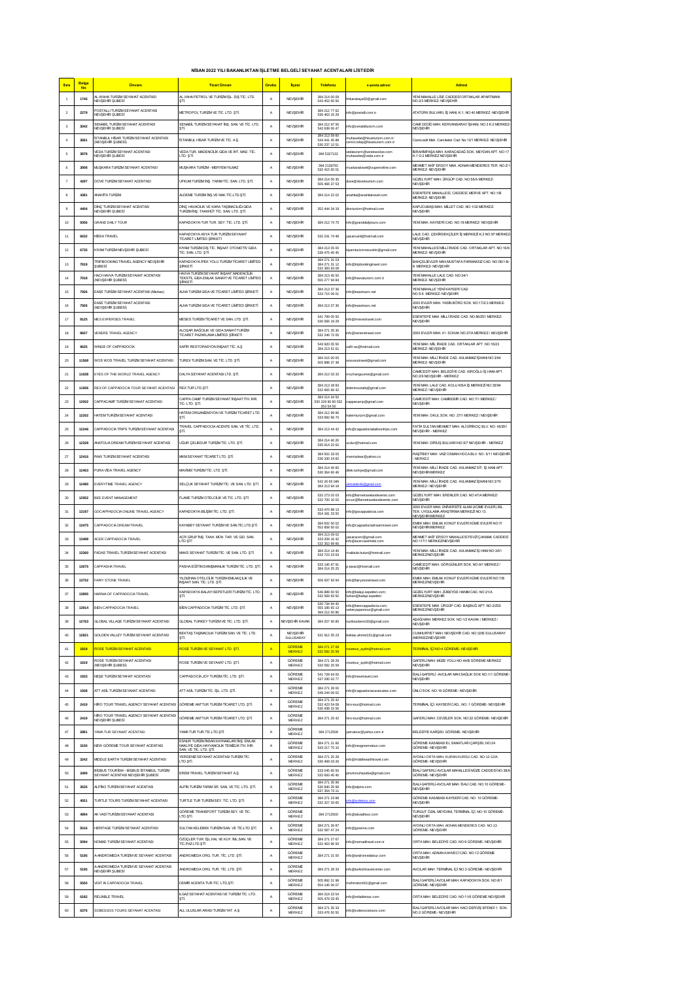|  |  |  |  | NİSAN 2022 YILI BAKANLIKTAN İŞLETME BELGELİ SEYAHAT ACENTALARI LİSTEDİR |  |  |
|--|--|--|--|-------------------------------------------------------------------------|--|--|
|--|--|--|--|-------------------------------------------------------------------------|--|--|

|                         | Belge     |                                                                                    |                                                                                                                  |                |                         |                                    |                                                            |                                                                                                         |
|-------------------------|-----------|------------------------------------------------------------------------------------|------------------------------------------------------------------------------------------------------------------|----------------|-------------------------|------------------------------------|------------------------------------------------------------|---------------------------------------------------------------------------------------------------------|
| Sira                    | <b>No</b> | <b>Unvant</b>                                                                      | <b>Ticari Unvan</b>                                                                                              | Grubu          | <b>ilcesi</b>           | <b>Telefonu</b>                    | e-posta adresi                                             | Adresi                                                                                                  |
| $\mathbf{1}$            | 1745      | L-WAHA TURİZM SEYAHAT ACENTASI<br>NEVSEHIR SUBESİ                                  | <b>IL VAHA PETROL VE TURÍZM ÍSL. DIS TÍC. LTD</b><br>STİ.                                                        | A              | NEVSEHR                 | 384 214 00 09<br>543 453 50 50     | hkarakaya50@gmail.com                                      | YENÎ MAHALLE LÎSE CADDESÎ ORTAKLAR APARTMANI<br><b>NO:2/3 MERKEZ-NEVSEHIR</b>                           |
| $\overline{\mathbf{2}}$ | 2279      | POSTALLI TURİZM SEYAHAT ACENTASI<br>NEVŞEHÎR ŞUBESÎ                                | VETROPOL TURÍZM VE TÍC. LTD. STÍ.                                                                                | $\mathbb A$    | NEVŞEHIR                | 384 212 77 62<br>536 463 15 29     | nfo@postalli.com.tr                                        | ATATÜRK BULVARI, İŞ HANI, K:1, NO:40 MERKEZ •NEVŞEHİR                                                   |
| $\overline{\mathbf{3}}$ | 3042      | SENABİL TURİZM SEYAHAT ACENTASI<br>NEVŞEHÎR ŞUBESÎ                                 | SENABİL TURİZM SEYAHAT İNŞ. SAN. VE TİC. LTD<br>STI.                                                             | $\mathbb A$    | NEVŞEHIR                | 384 212 97 56<br>542 638 06 47     | fo@senabilturizm.com                                       | CAMÍ CEDÍO MAH. KERVANSARAY ÍŞHANI, NO:3 K:2 MERKEZ<br>NEVSEHIR                                         |
| $\ddot{4}$              | 3681      | STANBUL HÍSAR TURÍZM SEYAHAT ACENTASI                                              | <b>İSTANBUL HİSAR TURİZM VE TİC. A.Ş.</b>                                                                        | Α              | NEVŞEHR                 | 384 213 59 60<br>544 441 45 88     | nuhasebe@hisarturizm.com.tr:                               | Camicedit Mah. Camikebir Cad. No:13/1 MERKEZ-NEVŞEHÎR                                                   |
|                         |           | NEVSEHIR SUBESI)<br>VEDA TURÍZM SEYAHAT ACENTASI                                   | VEDA TUR. MADENCÍLÍK GIDA VE ÍHT. MAD. TÍC.                                                                      |                |                         | 530 237 12 51                      | emil.celep@hisarturizm.com.tr<br>edaturizm@windowslive.com | BRAHIMPASA MAH, KARACADAĞ SOK, MEYDAN APT, NO:17                                                        |
| 5                       | 3878      | <b>IEVSEHR SUBESI</b>                                                              | .TD. STİ.                                                                                                        | A              | NEVŞEHR                 | 384 5327132<br>384 2139792         | uhasebe@veda.com.tr                                        | (:1 D:2 MERKEZ NEVSEHR<br>MEHMET AKİF ERSOY MAH. ADNAN MENDERES TER. NO:Z-1                             |
| 6                       | 3908      | MUŞKARA TURİZM SEYAHAT ACENTASI                                                    | MUŞKARA TURİZM - MERYEM YILMAZ                                                                                   | A              | NEVSEHR                 | 532 415 50 01                      | nuskaratravel@superonline.com                              | MERKEZ- NEVSEHIR                                                                                        |
| $\overline{7}$          | 4297      | DOVE TURIZM SEYAHAT ACENTAS!                                                       | UFKUM TURÍZM ÍNS. TARIM TÍC. SAN. LTD. STÍ                                                                       | $\mathsf{A}$   | <b>NEVSEHR</b>          | 384 214 05 35<br>506 466 37 53     | dove@dovetourism.com                                       | GÜZELYURT MAH. ÜRGÜP CAD. NO:55/A MERKEZ-<br>NEVSEHIR                                                   |
| 8                       | 4381      | ANAHÎTA TURÎZM                                                                     | ALDEME TURÍZMÍNS.VE NAK.TÍC.LTD.STÍ.                                                                             | A              | <b>NEVSEHR</b>          | 384 214 22 02                      | anahita@anahitatravel.com                                  | SENTEPE MAHALLESÍ, CADDESÍ, MERVE APT. NO:1/B<br><b>MERKEZ-NEVSEHIR</b>                                 |
| $9$                     | 4404      | <b>DINÇ TURİZM SEYAHAT ACENTASI</b><br>NEVSEHIR SUBESI                             | <b>DÎNÇ HAVACILIK VE KARA TAŞIMACILIĞI GIDA</b><br>TURÍZM ÍNS. TAAHHÚT TÍC. SAN. LTD. STÍ.                       | A              | NEVSEHR                 | 352 444 34 19                      | fincturizm@hotmail.com                                     | KAPUCUBAŞI MAH. MÎLLET CAD. NO:1/32 MERKEZ-<br><b>NEVSEHIR</b>                                          |
| 10                      | 5056      | GRAND DAILY TOUR                                                                   | <b>KAPADOKYA-TUR TUR. SEY. TÍC. LTD. STÍ</b>                                                                     | $\mathsf{A}$   | NEVŞEHIR                | 384 212 74 75                      | nfo@granddailytours.com                                    | YENÎ MAH. KAYSERÎ CAD. NO:18 MERKEZ- NEVŞEHÎR                                                           |
| 11                      | 6632      | NÍSSA TRAVEL                                                                       | KAPADOKYA ASYA TUR TURIZM SEYAHAT                                                                                | $\mathsf{A}$   | NEVŞEHIR                | 532 241 74 48                      | asarsanli@hotmail.com                                      | LALE CAD. ÇEKİRDEKÇİLER İŞ MERKEZİ K.2 NO.97 MERKEZ                                                     |
|                         |           |                                                                                    | TİCARET LİMİTED SİRKETİ<br>KIYAM TURİZMDIŞ TİC. İNŞAAT OTOMOTİV GIDA                                             |                |                         | 384 213 05 00                      |                                                            | NEVSEHIR<br>YENİ MAHALLESİ MİLLİ İRADE CAD. ORTAKLAR APT. NO:16/8                                       |
| 12                      | 6735      | KIYAM TURİZM NEVŞEHİR ŞUBESİ                                                       | ric. SAN. LTD. ȘTÎ.                                                                                              | A              | NEVŞEHIR                | 538 475 40 40<br>384 271 31 03     | yamturizmnevsehir@gmail.com                                | <b>MERKEZ-NEVŞEHÎR</b>                                                                                  |
| 13                      | 7819      | FRIPBOOKING TRAVEL AGENCY NEVSEHÎR<br><b>SUBESi</b>                                | <b>KAPADOKYA IPEK YOLU TURIZM TICARET LIMITED</b><br>SİRKETİ                                                     | A              | NEVSEHIR                | 384 271 31 12<br>532 383 93 08     | nfo@tripbookingtravel.com                                  | BAHCELIEVLER MAHMUSTAFA PARMAKSIZ CAD. NO:56/1-B-<br>8 MERKEZ- NEVŞEHÎR                                 |
| 14                      | 7918      | IACI HAWA TURIZM SEYAHAT ACENTASI<br>(NEVŞEHÎR ŞUBESÎ)                             | WAVA TURİZM SEYAHAT İNŞAAT MADENCILIK<br>TEKSTIL GIDA EMLAK SANAYÎ VE TÎCARET LÎMÎTED<br>SİRKETİ                 | $\overline{A}$ | <b>NEVSEHR</b>          | 384 213 45 50<br>555 277 94 84     | nfo@havvaturizm.com.tr                                     | YENİ MAHALLE LALE CAD. NO:34/1<br>MERKEZ- NEVŞEHÎR                                                      |
| 15                      | 7926      | EASE TURIZM SEYAHAT ACENTASI (Merkez)                                              | ALNA TURÍZM GIDA VE TÍCARET LÍMÍTED SÍRKETÍ                                                                      | $\overline{A}$ | <b>NEVSEHR</b>          | 384 213 37 36<br>533 715 06 01     | nfo@easetours.net                                          | YENÎ MAHALLE YENÎ KAYSERÎ CAD<br>NO:5-6 MERKEZ- NEVSEHIR                                                |
| 16                      | 7926      | ASE TURIZM SEYAHAT ACENTASI<br>(NEVSEHIR SUBESI)                                   | <b>LNA TURÍZM GIDA VE TÍCARET LÍMÍTED SÍRKETÍ</b>                                                                | A              | NEVSEHR                 | 384 213 37 36                      | nfo@easetours.net                                          | 2000 EVLER MAH. YASİN BÖRÜ SOK. NO:17/Z-3 MERKEZ-<br>NEVSEHIR                                           |
| 17                      | 8125      | MES EXPERSES TRAVEL                                                                | VESES TURIZM TICARET VE SAN, LTD. STİ.                                                                           | A              | NEVSEHR                 | 541 799 05 50<br>530 066 19 29     | nfo@mesestravel.com                                        | ESENTEPE MAH. MILLI IRADE CAD. NO:86/201 MERKEZ-                                                        |
| 18                      | 8607      | VENERE TRAVEL AGENCY                                                               | ALOSAR BAĞCILIK VE GIDA SANAYİ TURİZM                                                                            | $\mathbb A$    |                         | 384 271 35 30                      | fo@veneretravel.com                                        | NEVSEHR<br>2000 EVLER MAH, 41. SOKAK NO:27/A MERKEZ / NEVSEHIR                                          |
|                         |           |                                                                                    | TİCARET PAZARLAMA LİMİTED ŞİRKETİ                                                                                |                | NEVŞEHIR                | 532 246 72 05<br>543 920 05 50     |                                                            | YENÎ MAH, MÎL ÎRADE CAD, ORTAKLAR APT, NO:16/23                                                         |
| 19                      | 9625      | <b><i>NINGS OF CAPPADOCIA</i></b>                                                  | SAFİR RESTORASYON İNŞAAT TİC. A.Ş                                                                                | $\mathbb A$    | NEVŞEHIR                | 384 213 51 61                      | afir-as@hotmail.com                                        | <b>IERKEZ- NEVSEHIR</b>                                                                                 |
| 20                      | 11568     | WOS WOS TRAVEL TURIZM SEYAHAT ACENTASI                                             | TUREX TURÍZM SAN. VE TÍC. LTD. ȘTÍ                                                                               | A              | NEVŞEHIR                | 384 215 00 00<br>505 888 37 38     | swostravel@gmail.com                                       | YENÎ MAH. MÎLLÎ ÎRADE CAD. AVLANMAZ ÎŞHANI NO:3/64<br><b>VERKEZ-NEVSEHIR</b>                            |
| 21                      | 11638     | EYES OF THE WORLD TRAVEL AGENCY                                                    | DALYA SEYAHAT ACENTASI LTD. STİ.                                                                                 | $\mathsf{A}$   | <b>NEVSEHR</b>          | 384 212 03 33                      | nszhangsumei@gmail.com                                     | CAMICEDIT MAH. BELEDIYE CAD. KIROĞLU İŞ HANI APT.<br>NO:29 NEVSEHIR - MERKEZ                            |
| 22                      | 11906     | REX OF CAPPADOCIA TOUR SEYAHAT ACENTASI                                            | REXTUR LTD.STİ                                                                                                   | $\mathsf{A}$   | NEVSEHR                 | 384 213 28 83<br>532 665 66 42     | olenmustafa@gmail.com                                      | YENÎ MAH. LALE CAD. KOLU KISA ÎŞ MERKEZÎ NO:35/94<br><b>MERKEZ/NEVSEHR</b>                              |
| 23                      | 12002     | CAPPACAMP TURÍZM SEYAHAT ACENTASI                                                  | APPA CAMP TURÍZM SEYAHAT ÍNŞAAT ÍTH. ÍHR<br>TÍC. LTD. STÍ.                                                       | A              | NEVSEHR                 | 384 214 44 50<br>530 228 90 80 532 | sppacamp@gmail.com                                         | MMCEDIT MAH. CAMIKEBIR CAD. NO:7/1 MERKEZ/<br>NEVSEHR                                                   |
| 24                      | 12202     | HATEM TURÍZM SEYAHAT ACENTASI                                                      | IATEM ORGANIZASYON VE TURIZM TICARET LTD                                                                         | A              | NEVSEHR                 | 253 54 50<br>384 212 99 96         |                                                            | YENÎ MAH. OKUL SOK. NO: 27/1 MERKEZ / NEVŞEHÎR                                                          |
|                         |           |                                                                                    | STİ.<br>TRAVEL CAPPADOCIA ACENTE SAN. VE TÍC. LTD                                                                |                |                         | 533 682 66 70                      | atemturizm@gmail.com                                       | FATÎH SULTAN MEHMET MAH. ALÎ DÎRÎKOÇ BLV. NO: 45/201                                                    |
| 25                      | 12246     | CAPPADOCIA TRIPS TURÍZM SEYAHAT ACENTASI                                           | STİ.                                                                                                             | $\mathbb A$    | NEVŞEHR                 | 384 213 44 42                      | nfo@cappadociaballoontrips.com                             | NEVSEHIR - MERKEZ                                                                                       |
| 26                      | 12328     | WATOLIA DREAM TURÍZM SEYAHAT ACENTASI                                              | UĞUR ÇELİKDUR TURİZM TİC. LTD. ŞTİ.                                                                              | $\mathbb A$    | NEVŞEHR                 | 384 214 40 20<br>535 614 22 62     | cdur@hotmail.com                                           | YENÎ MAH. DÎRÎLÎŞ BULVARI NO:5/7 NEVŞEHÎR - MERKEZ                                                      |
| 27                      | 12416     | RAW TURİZM SEYAHAT ACENTASI                                                        | MKM SEYAHAT TİCARET LTD. ŞTİ                                                                                     | Α              | NEVŞEHIR                | 384 502 33 00<br>536 330 24 82     | emisdear@yahoo.co                                          | RASÍTBEY MAH. VAÍZ OSMAN HOCA BLV. NO: 5/11 NEVSEHÍR<br>MERKEZ                                          |
| 28                      | 12463     | PURA VÍDA TRAVEL AGENCY                                                            | MAVIMSI TURIZM TIC. LTD. STI.                                                                                    | A              | NEVSEHIR                | 384 214 40 60<br>530 364 60 46     | filek.turkiye@gmail.com                                    | YENÎ MAH. MÎLLÎ ÎRADE CAD. AVLANMAZ SÎT. ÎŞ HANI APT<br><b><i><u>IEVSEHRMERKEZ</u></i></b>              |
| 29                      | 12480     | EVERYTIME TRAVEL AGENCY                                                            | SELCUK SEYAHAT TURİZM TİC. VE SAN, LTD. STİ.                                                                     | $\mathsf{A}$   | <b>NEVSEHR</b>          | 542 26 65 046<br>384 213 94 19     | kbb46@a                                                    | YENÎ MAH. MÎLLÎ ÎRADE CAD. AVLANMAZ ÎŞHANI NO:3/70<br><b><i>MERKEZ/NEVSEHR</i></b>                      |
| 30                      | 12952     | BEE EVENT MANAGEMENT                                                               | FLAME TURIZM OTELCILIK VE TIC. LTD. STI                                                                          | A              | <b>NEVSEHR</b>          | 532 273 02 03                      | nfo@flametravelandevents.com:                              | GÜZELYURT MAH. ERENLER CAD. NO:47/A MERKEZ/                                                             |
| 31                      |           |                                                                                    | <b>KAPADOKYA BILIŞIM TİC. LTD. STİ.</b>                                                                          |                |                         | 532 700 10 02<br>533 470 98 13     | cun@fbmetravebindevents.com                                | NEVSEHIR<br>2000 EVLER MAH. ÜNİVERSİTE ALANI (KÜME EVLER) BİL<br>TEK. UYGULAMA ARAŞTIRMA MERKEZİ NO:13. |
|                         | 13197     | GOCAPPADOCIA ONLINE TRAVEL AGENCY                                                  |                                                                                                                  | A              | NEVSEHR                 | 554 181 33 50<br>384 502 50 02     | nfo@gocappadocia.com                                       | NEVSEHIR/MERKEZ<br>EMEK MAH. EMLAK KONUT EVLERÎ KÛME EVLERÎ NO:7                                        |
| 32                      | 13475     | CAPPADOCIA DREAM TRAVEL                                                            | <b>KAYABEY SEYAHAT TURÍZM VE SAN TÍC LTD.STÍ.</b>                                                                | $\mathbb A$    | NEVSEHR                 | 552 858 50 02<br>384 213 09 02     | nfo@cappadociadreamtravel.com                              | <b>NEVSEHR/MERKEZ</b>                                                                                   |
| 33                      | 13498     | <b>CER CAPPADOCIA TRAVEL</b>                                                       | <b>ICR GRUP INS. TAAH. MÜH. TAR. VE GID. SAN</b><br>.TD.STİ                                                      | $\mathbb A$    | NEVŞEHR                 | 533 209 16 42<br>532 352 69 66     | asaracerr@gmail.com<br>nfo@acercavehotel.com               | MEHMET AKİF ERSOY MAHALLESİ FEVZİ ÇAKMAK CADDESİ<br>NO:117/1 MERKEZ/NEVSEHÎR                            |
| 34                      | 13360     | ADAS TRAVEL TURIZM SEYAHAT ACENTASI                                                | WAKS SEYAHAT TURIZM TİC. VE SAN. LTD. ŞTİ                                                                        | $\mathsf A$    | NEVŞEHR                 | 384 214 14 40<br>533 723 23 63     | nakbule.butun@hotmail.com                                  | YENÎ MAH. MÎLLÎ ÎRADE CAD. AVLANMAZ ÎŞ HANI NO:3/61<br>MERKEZNEVSEHÎR                                   |
| 35                      | 13675     | CAPPASHA TRAVEL                                                                    | PASHA EĞİTİM DANIŞMANLIK TURİZM TİC. LTD. ŞTİ                                                                    | Α              | NEVŞEHR                 | 533 145 97 91<br>384 214 25 25     | tavaci@hotmail.com                                         | CAMICEDIT MAH. GÖRGÜNLER SOK. NO.9/1 MERKEZ /<br>NEVSEHIR                                               |
| 36                      | 13752     | <b>FAIRY STONE TRAVEL</b>                                                          | YILDIZHAN OTELCILIK TURİZMEMLAKÇILIK VE<br>NŞAAT SAN. TİC. LTD. ŞTİ.                                             | Α              | NEVŞEHR                 | 506 937 93 94                      | nfo@fairystonetravel.com                                   | EMEK MAH. EMLAK KONUT EVLERÎ KÜME EVLERÎ NO:7/B<br>MERKEZNEVSEHIR                                       |
| 37                      | 13895     | NARNIA OF CAPPADOCIA TRAVEL                                                        | KAPADOKYA BALAYI SEPETLERİ TURİZM TİC. LTD                                                                       | $\overline{A}$ | <b>NEVSEHR</b>          | 546 889 00 50                      | info@balayi.sepetleri.com;                                 | GÜZELYURT MAH. ZÜBEYDE HANM CAD. NO:21/A                                                                |
|                         |           |                                                                                    |                                                                                                                  |                |                         | 532 569 93 50<br>530 734 94 40     | furkan@balayi.sepetleri<br>nfo@biencappadocia.com;         | MERKEZNEVŞEHÎR<br>SENTEPE MAH. ÜRGÜP CAD. BAŞBUĞ APT. NO.2/202                                          |
| 38                      | 13914     | BIEN CAPPADOCIA TRAVEL                                                             | BIEN CAPPADOCIA TURIZM TIC. LTD. STI.                                                                            | $\mathsf{A}$   | <b>NEVSEHR</b>          | 555 185 65 13<br>384 212 00 86     | ekeryapanonur@gmail.com                                    | <b>MERKEZNEVSEHIR</b>                                                                                   |
| 39                      | 12763     | GLOBAL VILLAGE TURÍZM SEYAHAT ACENTASI                                             | GLOBAL TURKEY TURIZM VE TIC. LTD. STİ.                                                                           | $\mathsf{A}$   | NEVSEHIR KAVAK          | 384 257 40 80                      | uribozdemir30@gmail.com                                    | SAĞI MAH. MERKEZ SOK. NO:1/2 KAVAK / MERKEZ /<br><b>NEVSEHIR</b>                                        |
| 40                      | 12821     | GOLDEN VALLEY TURIZM SEYAHAT ACENTASI                                              | BEKTAŞ TAŞIMACILIK TURİZM SAN. VE TİC. LTD.<br>STİ.                                                              | A              | NEVSEHIF<br>SULUSARAY   | 531 912 35 23                      | ektas.ahmet151@gmail.com                                   | CUMHURÍYET MAH. NEVŞEHÎR CAD. NO:32/B SULUSARAY<br><b>MERKEZNEVSEHIR</b>                                |
| 41                      | 1819      | ROSE TURIZM SEYAHAT ACENTASI                                                       | ROSE TURIZM VE SEYAHAT LTD. STİ.                                                                                 | A              | GÖREME<br><b>MERKEZ</b> | 384 271 27 08<br>532 582 25 59     | osetour_aydin@hotmail.com                                  | TERMINAL ICI NO:4 GÖREME- NEVSEHIR                                                                      |
| 42                      | 1819      | ROSE TURIZM SEYAHAT ACENTASI<br><b>NEVSEHIR SUBESI)</b>                            | ROSE TURIZM VE SEYAHAT LTD. ȘTI.                                                                                 | A              | GÖREME<br>MERKEZ        | 384 271 28 29<br>532 582 25 59     | osetour_aydin@hotmail.com                                  | GAFERLİ MAH. MÜZE YOLU NO:44/B GÖREME MERKEZ<br>NEVSEHIR                                                |
| 43                      | 1933      | NEŞE TURİZM SEYAHAT ACENTASI                                                       | CAPPADOCÍA JOY TURÍZM.TÍC. LTD. ȘTÍ.                                                                             | A              | GÖREME<br>MERKEZ        | 541 728 64 00<br>537 295 02 77     | nfo@nesetravel.com                                         | SALİ-GAFERLİ - AVCILAR MAH. SAĞLIK SOK NO:1/1 GÖREME-<br>NEVSEHIR                                       |
| 44                      | 1938      | ATT ASİL TURİZM SEYAHAT ACENTASI                                                   | ATT ASÍL TURÍZM TÍC. ÍSL. LTD. STÍ.                                                                              | $\overline{A}$ | GÖREME                  | 384 271 28 00                      | nfo@cappadociacavesuites.com                               | UNLÜ SOK NO:19 GÖREME, NEVSEHİR                                                                         |
|                         |           |                                                                                    |                                                                                                                  |                | MERKEZ<br>GÖREME        | 549 244 06 02<br>384 271 25 42     | iro-tour@hotmail.com                                       |                                                                                                         |
| 45                      | 2419      | HIRO TOUR TRAVEL AGENCY SEYAHAT ACENTAS<br>IRO TOUR TRAVEL AGENCY SEYAHAT ACENTASI | GÖREME ANTTUR TURIZM TICARET LTD. STİ.                                                                           | $\overline{A}$ | MERKEZ<br>GÖREME        | 532 423 54 08<br>530 938 15 56     |                                                            | TERMÎNAL ÎCÎ, KAYSERÎ CAD., NO: 1 GÖREME- NEVSEHÎR                                                      |
| 46                      | 2419      | NEVŞEHÎR ŞUBESÎ                                                                    | SÖREME ANTTUR TURIZM TICARET LTD. STİ.                                                                           | A              | MERKEZ                  | 384 271 25 42                      | tiro-tour@hotmail.com                                      | GAFERLI MAH. CEVIZLER SOK. NO:22 GÖREME- NEVŞEHİR                                                       |
| 47                      | 2881      | YAMA TUR SEYAHAT ACENTASI                                                          | YAMA TUR TUR.TİC.LTD.ŞTİ.                                                                                        | A              | GÖREME<br>MERKEZ        | 384 271 250 8                      | amatour@yahoo.com.tr                                       | BELEDIYE KARŞISI. GÖREME- NEVŞEHÎR                                                                      |
| 48                      | 3150      | <b>VEW GÖREME TOUR SEYAHAT ACENTASI</b>                                            | ESNUR TURÍZM NSAN KAYNAKLARI ÍNS. EMLAK<br>VAKLIYE GIDA HAYVANCILIK TEMIZLİK İTH. İHR.<br>SAN, VE TÍC. LTD. STÍ. | $\mathbb A$    | GÖREME<br>MERKEZ        | 384 271 21 66<br>543 217 75 10     | fo@nevgoremetour.com                                       | GÖREME KASABASI EL SANATLARI ÇARŞISI, NO:24<br><b>GÖREME- NEVSEHIR</b>                                  |
| 49                      | 3242      | <b>IIDDLE EARTH TURIZM SEYAHAT ACENTASI</b>                                        | YERDENIZ SEYAHAT ACENTASI TURIZM TIC.<br>LTD.STİ.                                                                | A              | GÖREME<br>MERKEZ        | 384 271 25 28<br>530 468 03 26     | fo@middleearthtravel.com                                   | AYDINLI ORTA MAH. KURAN KURSU CAD. NO:12-12/A<br><b>GÖREME- NEVSEHIR</b>                                |
| 50                      | 3499      | BİGBUS TOURİSM - BİGBUS İSTANBUL TURİZM<br>SEYAHAT ACENTASI NEVSEHİR ŞUBES         | EREM TRAVEL TURIZM SEYAHAT A.Ş.                                                                                  | A              | GÖREME<br>MERKEZ        | 533 045 65 50<br>532 693 40 40     | vinmuhasebe@gmail.com                                      | İSALİ GAFERLİ AVCILAR MAHALLESİ MÜZE CADDESİ NO:38/A<br><b>GÖREME-NEVSEHIR</b>                          |
| 51                      |           | ALPINO TURIZM SEYAHAT ACENTASI                                                     |                                                                                                                  |                | GÖREME                  | 384 271 35 99<br>530 840 35 99     |                                                            | SALÍ-GAFERLÍAVCILAR MAH. ÍSALÍ CAD. NO:10 GÖREME-                                                       |
|                         | 3635      |                                                                                    | ALPÎN TURÎZM TARIM ÛR. SAN. VE TÎC. LTD. ŞTÎ.                                                                    | A              | MERKEZ<br>GÖREME        | 537 354 73 11<br>384 271 23 88     | fo@alpino.com                                              | NEVSEHIR<br>GÖREME KASABASI KAYSERİ CAD. NO: 10 GÖREME-                                                 |
| 52                      | 4551      | TURTLE TOURS TURIZM SEYAHAT ACENTASI                                               | TURTLE TUR TURIZM SEY, TIC. LTD. STI.                                                                            | $\mathsf{A}$   | MERKEZ                  | 532 327 33 65                      | fo@turtletour.com                                          | NEVSEHIR                                                                                                |
| 53                      | 4994      | AK VADİ TURİZM SEYAHAT ACENTASI                                                    | GÖREME TRANSPORT TURİZM SEY. VE TİC.<br>LTD.ŞTİ.                                                                 | $\mathsf{A}$   | GÖREME<br>MERKEZ        | 384 271 2500                       | nfo@akvaditour.com                                         | TURGUT ÖZAL MEYDANI, TERMİNAL İÇİ, NO:10 GÖREME-<br>NEVSEHIR                                            |
| 54                      | 5016      | <b>HERITAGE TURIZM SEYAHAT ACENTASI</b>                                            | SULTAN KELEBEK TURİZM SAN. VE TİC LTD.ŞTİ                                                                        | A              | GÖREME<br>MERKEZ        | 384 271 26 87<br>532 587 47 24     | nfo@goreme.com                                             | VYDINLI ORTA MAH. ADNAN MENDERES CAD. NO:13<br><b>GÖREME- NEVSEHIR</b>                                  |
| 55                      | 5094      | NOMAD TURIZM SEYAHAT ACENTASI                                                      | ÖZÜÇLER TUR. İŞL.HAL VE KUY. İML.SAN. VE<br><b>FIC.PAZLTD.STI</b>                                                | A              | GÖREME<br>MERKEZ        | 384 271 27 67<br>532 463 96 93     | nfo@nomadtravel.com.tr                                     | ORTA MAH. BELEDIYE CAD. NO:9 GÖREME- NEVŞEHİR                                                           |
| 56                      | 5195      | <b>MANDROMEDA TURIZM VE SEYAHAT ACENTASI</b>                                       | <b>INDROMEDA ORG. TUR. TÍC. LTD. STÍ.</b>                                                                        | $\mathbb A$    | GÖREME                  | 384 271 21 00                      | nfo@andromedatour.com                                      | ORTA MAH. ADNAN KAHVECİ CAD. NO:12 GÖREME                                                               |
| 57                      | 5195      | <b>UANDROMEDA TURIZM VE SEYAHAT ACENTASI</b>                                       | WDROMEDA ORG. TUR. TÍC. LTD. ȘTÍ.                                                                                | $\mathbb A$    | MERKEZ<br>GÖREME        | 384 271 28 33                      | nfo@turkishtravelcenter.com                                | NEVSEHIR<br>AVCILAR MAH. TERMÎNAL ÎÇÎ NO:3 GÖREME- NEVŞEHÎR                                             |
|                         |           | <b><i>JEVSEHR SUBESI</i></b>                                                       |                                                                                                                  |                | MERKEZ<br>GÖREME        | 505 892 21 98                      |                                                            | SALÍ GAFERLÍ AVCILAR MAH. KAPADOKYA SOK. NO:8/1                                                         |
| 58                      | 5550      | VISIT IN CAPPADOCIA TRAVEL                                                         | DEMIR ACENTA TUR.TİC. LTD.ŞTİ.                                                                                   | Α              | MERKEZ                  | 554 145 06 07                      | hehmetcirit01@gmail.com                                    | SÖREME- NEVSEHIR                                                                                        |
| 69                      | 6182      | RELIABLE TRAVEL                                                                    | LGAZ SEYAHAT ACENTASI VE TURIZM TÍC. LTD<br>STİ.                                                                 | A              | GÖREME<br>MERKEZ        | 384 219 23 54<br>505 476 03 45     | nfo@reliabletour.com                                       | ORTA MAH. BELEDIYE CAD. NO:11/6 GÖREME NEVŞEHİR                                                         |
| 60                      | 6376      | SOBESSOS TOURS SEYAHAT ACENTASI                                                    | ALL ULUSLAR ARASI TURİZMYAT. A.Ş.                                                                                | А              | GÖREME<br>MERKEZ        | 384 271 35 33<br>533 476 50 50     | nfo@sobessostours.com                                      | SALÍ GAFERLÍ AVCILAR MAH. HACI DERVÍŞ EFENDÍ 1. SOK.<br>NO:2 GÖREME- NEVSEHR                            |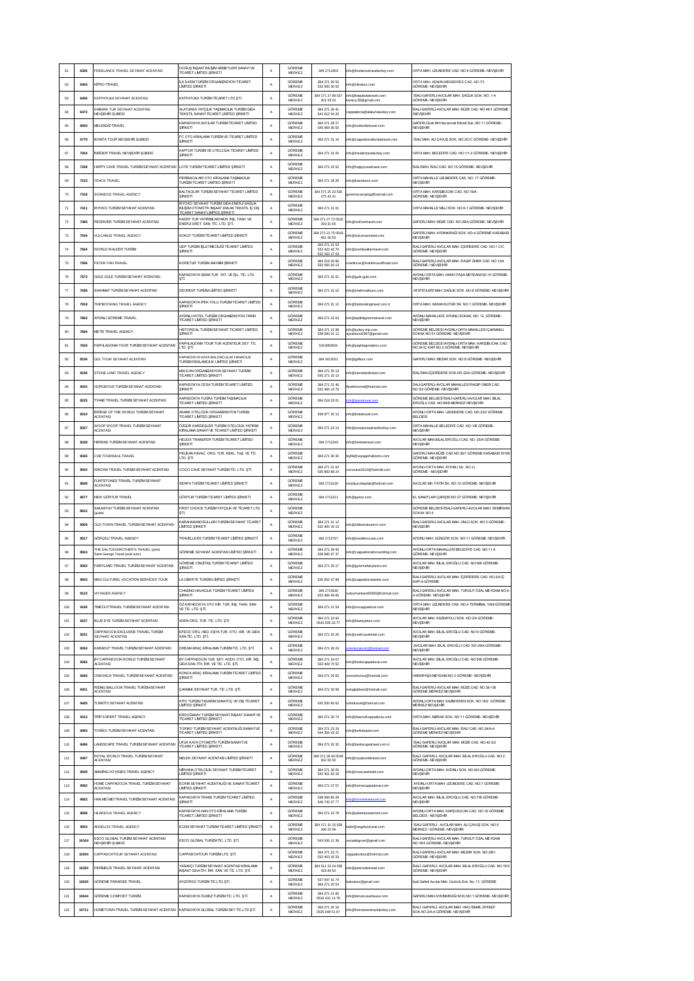| 61  | 6395  | FREELANCE TRAVEL SEYAHAT ACENTASI                                     | DOĞUŞ İNŞAAT BİLİŞİM HİZMETLERİ SANAYİ VE<br>TİCARET LİMİTED SİRKETİ                                                       | A           | GÖREME<br>MERKEZ           | 384 271 240 4                                    | info@freelancetravelturkey.com                   | ORTA MAH. UZUNDERE CAD. NO:9 GÖREME- NEVŞEHÎR                                                                  |
|-----|-------|-----------------------------------------------------------------------|----------------------------------------------------------------------------------------------------------------------------|-------------|----------------------------|--------------------------------------------------|--------------------------------------------------|----------------------------------------------------------------------------------------------------------------|
| 62  | 6404  | NITRO TRAVEL                                                          | ILK ILKEM TURIZM ORGANIZASYON TICARET<br>LIMITED SIRKETI                                                                   | A           | GÖREME<br>MERKEZ           | 384 271 30 50<br>532 565 30 50                   | nfo@nitrotour.com                                | ORTA MAH. ADNAN MENDERES CAD. NO:7/1<br>GÖREME- NEVSEHIR                                                       |
| 63  | 6456  | KATPATUKA SEYAHAT ACENTASI                                            | KATPATUKA TURİZM TİCARET LTD.ŞTİ.                                                                                          | A           | GÖREME<br>MERKEZ           | 384 271 27 89 537                                | info@katoatukatravel.com:<br>caraca.50@gmail.com | ISALI-GAFERLI-AVCILAR MAH, SAĞLIK SOK, NO: 1-4<br>GÖREME- NEVSEHIR                                             |
| 64  | 6472  | EMBARK TUR SEYAHAT ACENTASI                                           | ALATURKA YATCILIK TASIMACILIK TURİZM GIDA                                                                                  | А           | GÖREME                     | 201 03 02<br>384 271 26 41                       | appadocia@alaturkaturkey.com                     | SALÍ-GAFERLÍ-AVCILAR MAH. MÚZE CAD. NO:46/1 GÖREME                                                             |
| 65  | 6650  | <b>VEVŞEHİR ŞUBESİ</b><br>MELENDIZ TRAVEL                             | TEKSTIL SANAYİ TİCARET LIMITED ŞİRKETİ<br>KAPADOKYA AVCILAR TURİZM TİCARET LİMİTED                                         |             | MERKEZ<br>GÖREME           | 541 612 54 20<br>384 271 28 27                   |                                                  | NEVSEHIR<br>GAFERLİ İsali MH.Hacıismail Efendi SokNO:11 GÖREME-                                                |
|     |       |                                                                       | SİRKETİ<br>FC OTO KIRALAMA TURIZM VE TICARET LIMITED                                                                       | Α           | MERKEZ<br>GÖREME           | 545 969 36 55                                    | nfo@melendiztravel.com                           | NEVSEHIR                                                                                                       |
| 66  | 6779  | <b>BONITA TOUR NEVSEHIR SUBESI</b>                                    | SİRKETİ<br><b>KAPTUR TURIZM VE OTELCILIK TICARET LIMITED</b>                                                               | А           | MERKEZ<br>GÖREME           | 384 271 31 16                                    | info@cappadociabonitatravel.com                  | ISALI MAH. ALI ÇAVUŞ SOK. NO:3C/C GÖREME- NEVŞEHİR                                                             |
| 67  | 7054  | INSIDER TRAVEL NEVSEHIR SUBESI                                        | SİRKETİ                                                                                                                    | А           | <b>MERKEZ</b>              | 384 271 31 05                                    | info@insidertravelturkey.com                     | ORTA MAH, BELEDIYE CAD, NO:1/1-2 GÖREME- NEVSEHİR                                                              |
| 68  | 7208  | HAPPY CAVE TRAVEL TURIZM SEYAHAT ACENTASI                             | LOTE TURIZM TICARET LIMITED SIRKETI                                                                                        | A           | GÖREME<br><b>MERKEZ</b>    | 384 271 22 52                                    | info@happycavetravel.com                         | ISALI MAH. ISALI CAD. NO:15 GÖREME- NEVŞEHIR                                                                   |
| 69  | 7223  | TRACE TRAVEL                                                          | PERIBACALARI OTO KIRALAMA TAŞIMACILIK<br>TURIZM TICARET LIMITED SIRKETI                                                    | А           | GÖREME<br>MERKEZ           | 384 271 29 28                                    | info@tracetours.com                              | ORTA MAHALLE UZUNDERE CAD. NO: 17 GÖREME<br>NEVSEHIR                                                           |
| 70  | 7318  | SOANDOS TRAVEL AGENCY                                                 | BALTACILAR TURIZM SEYAHAT TICARET LIMITED<br>SİRKETİ                                                                       | A           | GÖREME<br>MERKEZ           | 384 271 25 23 530<br>275 43 41                   | goremecamping@hotmail.com                        | <b>DRTA MAH, KARSIBUCAK CAD, NO:18/A</b><br>GÖREME- NEVSEHIR                                                   |
| 71  | 7411  | RYOKO TURÍZM SEYAHAT ACENTASI                                         | IRYOKO SEYAHAT TURİZM GIDA ENERJİ SAĞLIK<br>BİLİŞİM OTOMOTİV İNŞAAT EMLAK TEKSTİL İÇ DIŞ<br>TİCARET SANAYİ LİMİTED SİRKETİ | A           | GÖREME<br>MERKEZ           | 384 271 21 01                                    |                                                  | ORTA MAHALLE MÍLLÍ SOK. NO:6-1 GÖREME- NEVSEHÍR                                                                |
| 72  | 7485  | REDRIVER TURIZM SEYAHAT ACENTASI                                      | KADEF TUR YATIRIMLARI MÜH. INS. TAAH. VE<br>ENERJI ÜRET. SAN. TİC. LTD. ŞTİ.                                               | А           | GÖREME<br>MERKEZ           | 384 271 27 72 0532<br>293 31 60                  | fo@redrivertravel.com                            | SAFERLÎ MAH. MÛZE CAD. NO:38/A GÖREME- NEVŞEHÎR                                                                |
| 73  | 7544  | VULCANUS TRAVEL AGENCY                                                | SOKUT TURİZM TİCARET LİMİTED ŞİRKETİ                                                                                       | Α           | GÖREME<br><b>MERKEZ</b>    | 384 271 21 75 0543<br>461 00 50                  | fo@vulcanustravel.com                            | GAFERLI MAH. AYDINKIRAĞI SOK. NO:4 GÖREME KASABASI<br>NEVSEHIR                                                 |
| 74  | 7564  | WORLD WALKER TURIZM                                                   | GEP TURIZM ISLETMECILIGI TICARET LIMITED<br>SİRKETİ                                                                        | А           | GÖREME<br><b>MERKEZ</b>    | 384 271 21 53<br>532 422 42 70                   | nfo@worldwalkertravel.com                        | SALI-GAFERLI-AVCILAR MAH. IÇERIDERE CAD. NO:1 C/C<br>GÖREME- NEVŞEHÎR                                          |
| 75  | 7596  | PETER PAN TRAVEL                                                      | KORETUR TURİZM ANONIM ŞİRKETİ                                                                                              | А           | GÖREME                     | 532 163 17 03<br>384 219 20 66                   | aritimus@maritimusoffroad.com                    | SALİ-GAFERLİ-AVCILAR MAH. RAGIP ÜNER CAD. NO:1/24                                                              |
| 76  | 7673  | GÜLE GÜLE TURİZM SEYAHAT ACENTASI                                     | KAPADOKYA SEMA TUR. YAT. VE İŞL. TİC. LTD.                                                                                 | А           | <b>MERKEZ</b><br>GÖREME    | 532 050 20 13<br>384 271 31 61                   | info@gule-gule.com                               | GÖREME / NEVSEHR<br>YDINLI ORTA MAH. HAKKI PAŞA MEYDANI NO:10 GÖREME-                                          |
|     |       |                                                                       | STİ.                                                                                                                       |             | <b>MERKEZ</b><br>GÖREME    |                                                  |                                                  | NEVSEHIR                                                                                                       |
| 77  | 7699  | SHAHMAT TURIZM SEYAHAT ACENTASI                                       | DEVRENT TURİZM LİMİTED ŞİRKETİ<br>KAPADOKYA IPEK YOLU TURIZM TICARET LIMITED                                               | A           | <b>MERKEZ</b><br>GÖREME    | 384 271 21 02                                    | nfo@shahmattours.com                             | AFATEVLERİ MAH. SAĞLIK SOK. NO:8 GÖREME- NEVSEHİR                                                              |
| 78  | 7819  | TRIPBOOKING TRAVEL AGENCY                                             | SIRKETI                                                                                                                    | A           | <b>MERKEZ</b>              | 384 271 31 12                                    | info@tripbookingtravel.com.tr                    | ORTA MAH, HASAN KUTAR SK, NO:1 GÖREME- NEVSEHÎR                                                                |
| 79  | 7863  | AYDINLI GÖREME TRAVEL                                                 | AYDINI LHOTEL TURİZM ORGANİZASYON TARIM<br><b>ICARET LIMITED SIRKETI</b>                                                   | А           | GÖREME<br><b>MERKEZ</b>    | 384 271 22 63                                    | nfo@aydinligoremetravel.com                      | AYDINLI MAHALLESİ, AYDINLI SOKAK, NO: 12, GÖREME-<br><b><i>VEVSEHR</i></b>                                     |
| 80  | 7894  | METIS TRAVEL AGENCY                                                   | HISTORICAL TURÍZM SEYAHAT TÍCARET LÍMÍTED                                                                                  | А           | GÖREME<br><b>MERKEZ</b>    | 384 271 21 88<br>538 590 01 12                   | nfo@turkev-trip.com<br>yseldural1967@gmail.com   | SÖREME BELDESİ AYDINLI-ORTA MAHALLESİ ÇAKMAKLI<br>OKAK NO:51 GÖREME- NEVSEHİR                                  |
| 81  | 7629  | PAPHLAGONIA TOUR TURIZM SEYAHAT ACENTASI                              | PAPHLAGONIA TOUR TUR ACENTELIK SEY. TIC.<br>LTD. STİ.                                                                      | А           | GÖREME<br>MERKEZ           | 5415993916                                       | nfo@paphlagoniatoru.com                          | GÖREME BELDESİ AYDINLI-ORTA MAH. KARŞIBUCAK CAD.<br>NO:34 IC KAPI NO:2 GÖREME- NEVSEHIR                        |
| 82  | 8106  | GDL TOUR SEYAHAT ACENTASI                                             | KAPADOKYA KAYA BALONCULUK HAVACILIK<br>TI IRİZM REKLAMCILIK LİMİTED ŞİRKETİ                                                | А           | GÖREME<br>MFRKEZ           | 384 341 2021                                     | nfo@gdltour.com                                  | SAFERLİ MAH. MEZAR SOK. NO:8 GÖREME- NEVSEHİR                                                                  |
| 83  | 8196  | STONE LAND TRAVEL AGENCY                                              | MCCAN ORGANIZASYON SEYAHAT TURIZM<br>TICARET LIMITED SIRKETI                                                               | A           | GÖREME<br><b>MERKEZ</b>    | 384 271 25 13<br>545 271 25 13                   | nfo@stonelandtravel.com                          | SALI MAH.İÇERİDERE SOK.NO.22/A GÖREME- NEVŞEHİR                                                                |
| 84  | 8202  | GORGEOUS TURIZM SEYAHAT ACENTASI                                      | KAPADOKYA CESA TURİZM TİCARET LİMİTED<br>SİRKETİ                                                                           | А           | GÖREME<br><b>MERKEZ</b>    | 384 271 21 46<br>532 366 13 78                   | withcemal@hotmail.com                            | SALİ-GAFERLİ-AVCILAR MAHALLESİ RAGIP ÜNER CAD<br>NO:3/2 GÖREME- NEVSEHIR                                       |
| 85  | 8225  | YANE TRAVEL TURIZM SEYAHAT ACENTASI                                   | KAPADOKYA TUĞRA TURİZM TAŞIMACILIK                                                                                         | A           | GÖREME                     | 384 219 33 01                                    | o@tya                                            | <b>CORFME BELDESI SALI-GAFERLI-AVCILAR MAH. BILAL</b>                                                          |
| 86  | 8310  | BRIDGE OF THE WORLD TURIZM SEYAHAT                                    | TİCARET LİMİTED ŞİRKETİ<br><b>NKABE OTELCILIK ORGANIZASYON TURIZM</b>                                                      | A           | MERKEZ<br>GÖREME           | 538 977 30 13                                    | nfo@botwtravel.com                               | EROĞLU CAD. NO:69/8 MERKEZ/ NEVŞEHİR<br>AYDINLI-ORTA MAH, UZUNDERE CAD. NO:23/2 GÖREME                         |
|     |       | <b>ACENTASI</b><br>WOOP WOOP TRAVEL TURIZM SEYAHAT                    | TİCARET LİMİTED ŞİRKETİ<br>ÖZGÜR KARDESLER TURİZM OTELCILİK YATIRIM                                                        |             | MERKEZ<br>GÖREME           |                                                  |                                                  | <b>BELDES</b><br>ORTA MAHALLE BELEDIYE CAD. NO:1/B GÖREME-                                                     |
| 87  | 8327  | <b>ACENTASI</b>                                                       | KİRALAMA SANAYİ VE TİCARET LİMTED ŞİRKETİ<br>HELIOS TRANSFER TURIZM TICARET LIMITED                                        | Α           | MERKEZ<br>GÖREME           | 384 271 24 14                                    | nfo@woopwooptravelturkey.com                     | NEVSEHIR<br>AVCILAR MAH.BİLAL EROĞLU CAD. NO: 25/A GÖREME-                                                     |
| 88  | 8338  | HEREKE TURIZM SEYAHAT ACENTASI                                        | SİRKETİ                                                                                                                    | Α           | MERKEZ                     | 384 271 224 3                                    | nfo@hereketravel.com                             | NEVSEHIR                                                                                                       |
| 89  | 8426  | CVB TOURISM & TRAVEL                                                  | PELÍKAN HAVAC. ORG. TUR. REKL. TAŞ. VE TİC.<br>LTD. ȘTI.                                                                   | А           | GÖREME<br>MERKEZ           | 384 271 30 30                                    | eyfik@voyagerballoons.com                        | GAFERLI MAH.MÜZE CAD.NO:36/1 GÖREME KASABASI 5018<br><br>GÖREME-NEVŞEHÎR                                       |
| 90  | 8504  | WİKONA TRAVEL TURİZM SEYAHAT ACENTASI                                 | COCO CAVE SEYAHAT TURIZM TÍC. LTD. STÍ.                                                                                    | A           | GÖREME<br>MERKEZ           | 384 271 21 62<br>535 983 88 24                   | ococave2012@hotmail.com                          | YDINLI-ORTA MAH. AYDINLI SK. NO:11<br>GÖREME - NEVŞEHÎR                                                        |
| 91  | 8608  | LINTSTONES TRAVEL TURIZM SEYAHAT<br><b>ACENTASI</b>                   | SERPA TURIZM TICARET LIMITED SIRKETI                                                                                       | А           | GÖREME<br>MERKEZ           | 384 271 2130                                     | erpilyucefaydali@hotmail.com                     | AVCILAR MH. FATÎH SK. NO:12 GÖREME- NEVŞEHÎR                                                                   |
| 92  | 8677  | NEW GÖRTUR TRAVEL                                                     | GÖRTUR TURİZM TİCARET LİMTED ŞİRKETİ                                                                                       | А           | GÖREME<br>MERKEZ           | 384 271 2211                                     | info@gortur.com                                  | EL SANATLARI ÇARŞISI NO:27 GÖREME- NEVŞEHİR                                                                    |
| 93  | 8812  | SAILNSTAY TURÍZM SEYAHAT ACENTASI<br>(sube)                           | FIRST CHOICE TURIZM YATÇILIK VE TİCARET LTD<br>STI.                                                                        | A           | GÖREME<br>MERKEZ           |                                                  |                                                  | GÖREME BELDESİ İSALİ-GAFERLİ AVCILAR MAH. DEMİRHAM<br>SOKAK NO:4                                               |
| 94  | 8909  | OLD TOWN TRAVEL TURIZM SEYAHAT ACENTASI                               | KARAHASANOĞULLARI TURİZM SEYAHAT TİCARET<br>LİMTED ŞİRKETİ                                                                 | A           | GÖREME<br>MERKEZ           | 384 271 21 12<br>532 405 19 13                   | nfo@oldtowntourism.com                           | İSALİ-GAFERLİ-AVCILAR MAH. ÜNLÜ SOK. NO:3 GÖREME-<br>NEVSEHIR                                                  |
| 95  | 8917  | GÖRÇELİ TRAVEL AGENCY                                                 | TRAVELLERS TURİZM TİCARET LİMİTED ŞİRKETİ                                                                                  | Α           | GÖREME<br>MERKEZ           | 384 271 2707                                     | nfo@travellerscave.com                           | AYDINLI MAH. GÜNGÖR SOK. NO:11 GÖREME- NEVŞEHÎR                                                                |
| 96  | 8924  | THE DALTON BROTHER'S TRAVEL (veni)<br>Saint George Travel (eski isim) | GÖREME SEYAHAT ACENTASI LİMİTED ŞİRKETİ                                                                                    |             | GÖREME                     |                                                  |                                                  |                                                                                                                |
| 97  | 9060  |                                                                       |                                                                                                                            |             |                            | 384 271 28 40                                    |                                                  | AYDINLI-ORTA MAHALLESİ BELEDİYE CAD. NO:11 A                                                                   |
|     |       |                                                                       | GÖREME CÍNGÍTAS TURÍZM TÍCARET LÍMÍTED                                                                                     | А           | MERKEZ<br>GÖREME           | 538 985 57 37                                    | nfo@cappadociahorseriding.com                    | GÖREME- NEVŞEHÎR<br>AVCILAR MAH. BÌLAL EROĞLU CAD. NO:9/B GÖREME-                                              |
| 98  |       | FAIRYLAND TRAVEL TURIZM SEYAHAT ACENTASI                              | SİRKETİ                                                                                                                    | А           | MERKEZ<br>GÖREME           | 384 271 26 17                                    | info@goremefairyland.com                         | NEVSEHIR                                                                                                       |
|     | 9603  | 9603 CULTUREL VOCATION SERVICES TOUR                                  | LA LIBERTE TURIZM LIMTED SIRKETI                                                                                           | А           | <b>MERKEZ</b>              | 530 652 47 88                                    | info@cappadociavisitor.com                       | İSALİ-GAFERLİ AVCILAR MAH. İÇERİDERE CAD. NO:3/A İÇ<br>KAPI A GÖREME                                           |
| 99  | 9123  | VOYAGER AGENCY                                                        | CHASING HAVACILIK TURİZM TİCARET LİMİTED<br>SİRKETİ                                                                        | А           | GÖREME<br>MERKEZ           | 384 271 35 30<br>532 466 49 85                   | suleymankara50500@hotmail.com                    | SALİ-GAFERLİ-AVCILAR MAH. TURGUT ÖZAL MEYDANI NO:5-<br>A GÖREME- NEVSEHIR                                      |
| 100 | 9195  | TIMEOUTTRAVEL TURÍZM SEYAHAT ACENTASI                                 | ÖZ KAPADOKYA OTO KİR. TUR. İNŞ. TAAH. SAN.<br>VE TÍC. LTD. ȘTÍ.                                                            | A           | GÖREME<br>MERKEZ           | 384 271 21 59                                    | nfo@ozcappadocia.com                             | NEVSEHIR                                                                                                       |
| 101 | 9237  | BLUE EYE TURIZM SEYAHAT ACENTASI                                      | ADEN ORG. TUR. TÍC. LTD. STÍ.                                                                                              | A           | GÖREME<br>MERKEZ           | 384 271 23 93<br>0543 505 26 77                  | nfo@blueeyetour.com                              | AVCILAR MAH. KAĞNIYOLU SOK. NO:3/A GÖREME-<br>NEVSEHIR                                                         |
| 102 | 9251  | CAPPADOCIA EXCLUSIVE TRAVEL TURIZM<br>SEYAHAT ACENTASI                | EFECE ORG. HED. EŞYA TUR. OTO. KİR. VE GIDA<br>SAN.TÍC. LTD. ȘTÍ.                                                          | А           | GÖREME<br>MERKEZ           | 384 271 25 25                                    | nfo@sedircavehotel.com                           | AVCILAR MAH. BÌLAL EROĞLU CAD. NO:9 GÖREME-<br>NEVSEHIR                                                        |
| 103 | 9264  | KARADUT TRAVEL TURIZM SEYAHAT ACENTASI                                | DREAM ARAÇ KÎRALAMA TURÎZM TÎC. LTD. ŞTÎ.                                                                                  | А           | GÖREME<br>MERKEZ           | 384 271 28 24                                    | aturk2@hotmail.com                               | AVCILAR MAH. BİLAL EROĞLU CAD. NO:29/A GÖREME-<br>NEVSEHIR                                                     |
| 104 | 9266  | BY CAPPADOCÍA WORLD TURÍZM SEYAHAT<br><b>ACENTASI</b>                 | BY CAPPADOCÍA TUR. SEY. ACEN. OTO. KÍR. ÍNS<br>GDA DAN. ITH. IHR. VE TIC. LTD. STI.                                        | А           | GÖREME<br>MERKEZ           | 384 271 24 07<br>532 408 70 52                   | nfo@bookcappadocia.com                           | ORTA MAH. UZUNDERE CAD. NO:4 TERMINAL YANI GÖREME-<br>WCILAR MAH. BÌLAL EROĞLU CAD. NO:5/B GÖREME-<br>NEVSEHIR |
| 105 | 9269  | OSKONCA TRAVEL TURIZM SEYAHAT ACENTASI                                | KONCA ARAÇ KİRALAMA TURİZM TİCARET LİMİTED<br>SİRKETİ                                                                      | А           | GÖREME<br>MERKEZ           | 384 271 26 83                                    | smankonca@hotmail.com                            | HAKKIPAŞA MEYDANI NO:3 GÖREME- NEVŞEHİR                                                                        |
| 106 | 9401  | <b>RISING BALLOON TRAVEL TURIZM SEYAHAT</b>                           | CAKMAK SEYAHAT TUR. TİC. LTD. STİ.                                                                                         | А           | GÖREME                     | 384 271 30 99                                    | isingballoen@hotmail.com                         | ALI-GAFERLI-AVCILAR MAH, MÜZE CAD, NO:36-1/B                                                                   |
| 107 | 9405  | <b>ACENTASI</b><br>TURKITO SEYAHAT ACENTASI                           | KÎTO TURÎZM TASARIM SANAYÎ ÎÇ VE DIŞ TÎCARET                                                                               | А           | MERKEZ<br>GÖREME           | 545 550 60 62                                    | turktotravel@hotmail.com                         | GÖREME MERKEZ NEVSEHIR<br>AYDINLI-ORTA MAH. KAZIM EREN SOK. NO:19/2 GÖREME                                     |
|     |       | TRIP EXPERT TRAVEL AGENCY                                             | LIMTED SIRKETI<br>ERDOĞANAY TURİZM SEYAHAT İNŞAAT SANAYİ VE                                                                |             | MERKEZ<br>GÖREME           | 384 271 30 74                                    | info@doarsofcappadocia.com                       | <b>MERKEZ NEVSEHIR</b>                                                                                         |
| 108 | 9413  |                                                                       | TİCARET LİMİTED ŞİRKETİ<br>TORÍKO TURÍZM SEYAHAT ACENTALIĜI SANAYÎ VE                                                      | А           | <b>MERKEZ</b><br>GÖREME    | 384 271 23 29                                    |                                                  | ORTA MAH. MIZRAK SOK. NO:11 GÖREME- NEVSEHIR<br>ISALI-GAFERLI-AVCILAR MAH. ISALI CAD. NO:34/A-A                |
| 109 | 9493  | TORIKO TURIZM SEYAHAT ACENTASI                                        | TİCARET LİMİTED ŞİRKETİ                                                                                                    | A           | MERKEZ                     | 544 356 43 32                                    | nfo@torikotravel.com                             | GÖREME MERKEZ NEVŞEHÎR                                                                                         |
| 110 | 9496  | LANDSCAPE TRAVEL TURIZM SEYAHAT ACENTASI                              | UFUK KAYA OTOMOTÎV TURÎZM SANAYÎ VE<br><b>FICARET LIMITED SIRKETI</b>                                                      | А           | GÖREME<br>MERKEZ           | 384 271 32 32                                    | info@landscapetravel.com.tr                      | ISALI GAFERLI AVCILAR MAH. MÜZE CAD. NO:42-2/2<br>SÖREME-NEVSEHIR                                              |
| 111 | 9497  | ROYAL WORLD TRAVEL TURIZM SEYAHAT<br><b>ACENTASI</b>                  | MELEK SEYAHAT ACENTASI LIMITED SİRKETİ                                                                                     | A           | GÖREME<br>MERKEZ           | 384 271 26 40 0549<br>502 00 50                  | nfo@royalworldtravel.com                         | SALI- GAFERLI- AVCLAR MAH. BİLAL EROĞLU CAD. NO.2<br><b>SÖREME-NEVSEHIR</b>                                    |
| 112 | 9508  | AMAZING VOYAGES TRAVEL AGENCY                                         | NÍRVANA OTELCÍLÍK SEYAHAT TURÍZM TÍCARET<br>LIMTED SIRKETI                                                                 | А           | GÖREME<br>MERKEZ           | 384 271 30 05<br>542 401 63 18                   | nfo@rosecavehotel.com                            | AYDINLI-ORTA MAH. AYDINLI SOK. NO:9/A GÖREME-<br>NEVSEHR                                                       |
| 113 | 9582  | OME CAPPADOCIA TRAVEL TURIZM SEYAHAT<br><b>ACENTASI</b>               | ECRÍN SEYAHAT ACENTALIĜI VE SANAYÍ TÍCARET<br><b>IMTED SIRKETI</b>                                                         | A           | GÖREME<br>MERKEZ           | 384 271 27 57                                    | nfo@homecappadocia.com                           | AYDINLI-ORTA MAH. UZUNDERE CAD. NO:7 GÖREME-<br>NEVSEHIR                                                       |
| 114 | 9663  | HAN MEI MEI TRAVEL TURIZM SEYAHAT ACENTASI                            | <b>KAPADOKYA TRANS TURIZM TICARET LIMITED</b><br>SİRKETİ                                                                   | $\mathbb A$ | GÖREME<br>MERKEZ           | 538 068 80 28<br>546 743 37 77                   | fo@hai<br>eitravel.com                           | WCILAR MAH. BÌLAL EROĞLU CAD. NO:7/B GÖREME-<br><b>NEVSEHIR</b>                                                |
| 115 | 9698  | HILARIOUS TRAVEL AGENCY                                               | KAPADOKYA HAN OTO KÎRALAMA TURÎZM<br>TİCARET LİMİTED ŞİRKETİ                                                               | $\mathbb A$ | GÖREME<br>MERKEZ           | 384 271 22 78                                    | info@adventureatvrent.com                        | AYDINLI-ORTA MAH. KARŞI BUCAK CAD. NO:18 GÖREME<br>BELDESİ - NEVŞEHİR                                          |
| 116 | 9954  | INGELOS TRAVEL AGENCY                                                 | ECEM SEYAHAT TURIZM TICARET LIMITED ŞIRKET                                                                                 | A           | GÖREME<br>MERKEZ           | 384 271 31 15 539<br>286 22 99                   | adir@angelostravel.com                           | İSALİ-GAFERLİ - AVCILAR MAH. ALİ ÇAVUŞ SOK. NO:5<br>MERKEZ / GÖREME- NEVŞEHÎR                                  |
| 117 | 10164 | ESCO GLOBAL TURÍZM SEYAHAT ACENTASI                                   | ESCO GLOBAL TURÍZM TÍC. LTD. STÍ.                                                                                          | A           | GÖREME                     | 543 506 11 38                                    | ezaidogruer@gmail.com                            | İSALİ-GAFERLİ-AVCILAR MAH. TURGUT ÖZAL MEYDANI                                                                 |
| 118 | 10294 | NEVŞEHÎR ŞUBESÎ                                                       |                                                                                                                            | А           | MERKEZ<br>GÖREME           | 384 271 22 71                                    | appadoxtour@hotmail.com                          | VO: 18/3 GÖREME- NEVŞEHİR<br>SALI-GAFERLI-AVCILAR MAH, MEZAR SOK, NO:2/B1                                      |
|     |       | CAPPADOXTOUR SEYAHAT ACENTASI                                         | CAPPADOXTOUR TURIZM LTD. ȘTI.<br>YASAKÇI TURİZM SEYAHAT ACENTASI KİRALAMA                                                  |             | MERKEZ<br>GÖREME           | 532 403 10 33<br>384 511 23 24 538               |                                                  | <b>GÖREME-NEVSEHIR</b><br>SALI- GAFERLI- AVCLAR MAH. BILAL EROĞLU CAD. NO:19/3                                 |
| 119 | 10320 | PERINELIS TRAVEL SEYAHAT ACENTASI                                     | INSAAT GIDA ITH. IHR. SAN. VE TIC. LTD. STI.                                                                               | А           | MERKEZ<br>GÖREME           | 418 84 50<br>537 947 41 74                       | nfo@perimelistravel.com                          | GÖREME- NEVŞEHÎR                                                                                               |
| 120 | 10630 | <b>GÖREME PARADISE TRAVEL</b>                                         | AYGÖRDÜ TURİZM TİC.LTD.STİ.                                                                                                | А           | MERKEZ                     | 384 271 25 54                                    | alontour@gmail.com                               | İsali Gaferli Avcılar Mah. Üzümlü Sok. No: 13 GÖREME                                                           |
| 121 | 10644 | GÖREME COMFORT TURIZM                                                 | KAPADOKYA ÖLMEZ TURİZM TİC. LTD. STİ.                                                                                      | А           | GÖREME<br>MERKEZ<br>GÖREME | 384 271 21 85<br>0532 431 13 78<br>384 271 20 18 | nfo@derviscavehause.com                          | GAFERLİ MAHAYDINKIRAĞI SOK.NO:1 GÖREME-NEVSEHİR<br>SALÍ-GAFERLÍ-AVCILAR MAH. HACI ÍSMAÍL EFENDÍ                |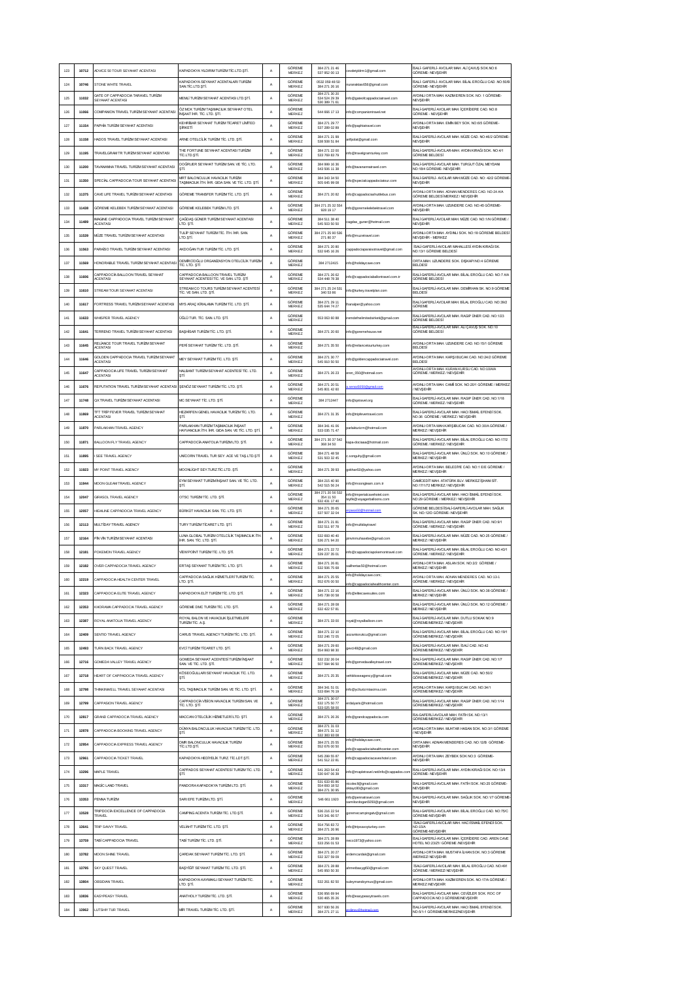| 123        | 10712          | ADVICE 50 TOUR SEYAHAT ACENTASI                                               | KAPADOKYA YILDIRIM TURİZM TİC.LTD.STİ.                                                          | A      | GÖREME<br>MERKEZ                  | 384 271 21 46<br>537 952 00 13                  | evdetyldrm1@gmail.com                                         | SALÎ- GAFERLÎ- AVCLAR MAH. ALÎ ÇAVUŞ SOK NO:6<br>SÖREME- NEVŞEHÎR                                                                      |
|------------|----------------|-------------------------------------------------------------------------------|-------------------------------------------------------------------------------------------------|--------|-----------------------------------|-------------------------------------------------|---------------------------------------------------------------|----------------------------------------------------------------------------------------------------------------------------------------|
| 124        | 10746          | STONE WHITE TRAVEL                                                            | <b>APADOKYA SEYAHAT ACENTALARI TURIZM</b><br>SAN.TÍC.LTD.STÍ.                                   | А      | GÖREME<br>MERKEZ                  | 0532 059 48 50<br>384 271 26 16                 | uranaktas656@gmail.com                                        | SALI- GAFERLI- AVCLAR MAH. BILAL EROĞLU CAD .NO:50/B<br>GÖREME- NEVSEHÍR                                                               |
| 125        | 11032          | SATE OF CAPPADOCIA TARAVEL TURIZM<br>SEYAHAT ACENTASI                         | MEMLİ TURİZM SEYAHAT ACENTASI LTD.ŞTİ.                                                          | A      | GÖREME<br>MERKEZ                  | 384 271 30 20<br>534 524 29 39<br>530 389 71 61 | info@gateofcappadociatravel.com                               | AYDINLI ORTA MAH. KAZIM EREN SOK. NO: 1 GÖREME-<br>NEVSEHR                                                                             |
| 126        | 11066          | COMPANION TRAVEL TURIZM SEYAHAT ACENTAS                                       | ÖZ MCK TURÍZM TAŞIMACILIK SEYAHAT OTEL<br>INSAAT IHR. TIC. LTD. STI.                            | A      | GÖREME<br>MERKEZ                  | 544 666 17 13                                   | nfo@companiontravel.net                                       | SALI-GAFERLI AVCLAR MAH. IÇERIDERE CAD. NO:8<br>GÖREME - NEVŞEHÎR                                                                      |
| 127        | 11154          | <b>PAPHÍA TURÍZM SEYAHAT ACENTASI</b>                                         | KEHRIBAR SEYAHAT TURIZM TICARET LIMITED<br>SİRKETİ                                              | A      | GÖREME<br><b>MERKEZ</b>           | 384 271 29 77<br>537 289 02 89                  | nfo@paphiatravel.com                                          | AYDINI LORTA MAH FMÍN REY SOK NO 65 GÖREME-<br>Nevsehîr                                                                                |
| 128        | 11158          | HADOS TRAVEL TURÍZM SEYAHAT ACENTASI                                          | <b>NRNE OTELCILIK TURIZM TIC. LTD. ȘTI</b>                                                      | Α      | GÖREME<br><b>MERKEZ</b>           | 384 271 21 99<br>538 508 51 84                  | rifpolat@gmail.com                                            | SALI-GAEERLI-AVOLAR MAH MÜZE CAD NO 46/2 GÖREME<br>NEVSEHIR                                                                            |
| 129        | 11195          | <b>FRAVELGRAM TR TURÍZM SEYAHAT ACENTASI</b>                                  | THE FORTUNE SEYAHAT ACENTASI TURIZM<br>TİC.LTD.ŞTİ.                                             | A      | GÖREME<br>MERKEZ                  | 384 271 22 00<br>533 769 83 79                  | nfo@travelgramturkey.com                                      | SALİ-GAFERLİ AVCILAR-MAH. AYDIN KIRAĞI SOK. NO:4/1<br>GÖREME BELDESİ                                                                   |
| 130        | 11200          | TAVANANNA TRAVEL TURÍZM SEYAHAT ACENTASI                                      | DOĞRUER SEYAHAT TURİZM SAN. VE TİC. LTD.<br>STİ                                                 | А      | GÖREME<br>MERKEZ                  | 384 999 16 36<br>543 506 11 38                  | nfo@tayanannatravel.com                                       | SALİ-GAFERLİ-AVCILAR MAH. TURGUT ÖZAL MEYDANI<br>NO:18/4 GÖREME- NEVŞEHİR                                                              |
| 131        | 11350          | SPECIAL CAPPADOCIA TOUR SEYAHAT ACENTAS                                       | IRT BALONCULUK HAVACILIK TURİZM<br>TASIMACILIK İTH. İHR. GIDA SAN, VE TİC. LTD. STİ             | А      | GÖREME<br>MERKEZ                  | 384 343 34 50<br>505 645 99 08                  | nfo@specialcappadociatour.com                                 | SALÍ-GAFERLÍ- AVCILAR MAH.MÚZE CAD. NO: 42/2 GÖREME<br>NEVSEHR                                                                         |
| 132        | 11375          | CAVE LIFE TRAVEL TURIZM SEYAHAT ACENTASI                                      | GÖREME TRANSFER TURİZM TİC. LTD. ŞTİ.                                                           | А      | GÖREME<br>MERKEZ                  | 384 271 20 82                                   | info@cappadociashuttlebus.com                                 | YDINLI-ORTA MAH. ADNAN MENDERES CAD. NO:24 A/A<br>GÖREME BELDESİ MERKEZ / NEVSEHİR                                                     |
| 133        | 11438          | GÖREME KELEBEK TURÍZM SEYAHAT ACENTASI                                        | GÖREME KELEBEK TURİZMLTD. STİ                                                                   | A      | GÖREME<br>MERKEZ                  | 384 271 25 32 554<br>928 19 17                  | nfo@goremekelebektravel.com                                   | VYDINLI-ORTA MAH. UZUNDERE CAD. NO:45 GÖREME-<br>NEVSEHIR                                                                              |
| 134        | 11489          | MAGINE CAPPADOCIA TRAVEL TURÍZM SEYAHAT<br><b>ACENTASI</b>                    | ÇAĞDAŞ GÜNER TURİZM SEYAHAT ACENTASI<br>.TD. STİ.                                               | A      | GÖREME<br>MERKEZ                  | 384 511 38 40<br>545 503 50 50                  | agdas_guner@hotmail.com                                       | SALÍ GAFERLÍ AVCILAR MAH. MÚZE CAD. NO:1/N GÖREME /<br>Nevsehîr                                                                        |
| 135        | 11539          | VIÜZE TRAVEL TURİZM SEYAHAT ACENTASI                                          | TULIP SEYAHAT TURIZM TIC. ITH. IHR. SAN<br>TD.STİ.                                              | A      | GÖREME<br><b>MERKEZ</b>           | 384 271 25 90 536<br>271 80 37                  | nfo@muzetravel.com                                            | AYDINLI-ORTA MAH, AYDINLI SOK, NO:18 GÖREME BELDESİ<br><b>JEVSEHIR - MERKEZ</b>                                                        |
| 136        | 11563          | PARAÍSO TRAVEL TURÍZM SEYAHAT ACENTASI                                        | AKDOĞAN TUR TURİZM TİC. LTD. ŞTİ                                                                | Α      | GÖREME                            | 384 271 20 80                                   | appadociaparaisotravel@gmail.com                              | İSALİ-GAFERLİ-AVCILAR MAHALLESİ AYDIN KIRAĞI SK.                                                                                       |
| 137        | 11569          | HONORABLE TRAVEL TURIZM SEYAHAT ACENTASI                                      | DEMIRCIOGLU ORGANIZASYON OTELCILIK TURIZM                                                       | Α      | <b>MERKEZ</b><br>GÖREME<br>MERKEZ | 532 645 16 26<br>384 271 2415                   | nfo@holidaycave.com                                           | 0:13/1 GÖREME BELDESİ<br>ORTA MAH. UZUNDERE SOK. DIŞKAPI NO:4 GÖREME<br><b>RELDESÍ</b>                                                 |
| 138        | 11606          | CAPPADOCÍA BALLOON TRAVEL SEYAHAT                                             | TÍC. LTD. STÍ<br>CAPPADOCIA BALLOON TRAVEL TURIZM                                               | А      | GÖREME                            | 384 271 26 62                                   | nfo@cappadociaballontravel.com.tr                             | SALÍ-GAFERLÍ-AVCILAR MAH. BÍLAL EROĞLU CAD. NO:7 A/A                                                                                   |
| 139        | 11610          | ACENTASI<br>STREAM TOUR SEYAHAT ACENTASI                                      | SEYAHAT ACENTESÍTÍC. VE SAN. LTD. STÍ<br>STREAM CO TOURS TURIZM SEYAHAT ACENTES                 | A      | MERKEZ<br>GÖREME                  | 534 448 78 38<br>384 271 25 24 531              | nfo@turkey.travelplan.com                                     | SÖREME BEI DESİ<br>SALI-GAFERLI-AVCILAR MAH. DEMIRHAN SK. NO:9 GÖREME                                                                  |
| 140        | 11617          | FORTRESS TRAVEL TURIZM SEYAHAT ACENTASI                                       | TÍC. VE SAN. LTD. ȘTÎ.<br>MYS ARAC KİRALAMA TURİZM TİC. LTD. STİ.                               | A      | MERKEZ<br>GÖREME                  | 340 53 86<br>384 271 29 11                      | hanalper@yahoo.com                                            | <b>BELDES</b><br>SALÍ GAFERLÍ AVCILAR MAH. BÍLAL EROĜLU CAD. NO:39/2                                                                   |
| 141        | 11633          | WHISPER TRAVEL AGENCY                                                         | <b>OGLO TUR. TÍC. SAN. LTD. STÍ.</b>                                                            | A      | MERKEZ<br>GÖREME                  | 535 644 74 27<br>553 063 60 88                  |                                                               | <b>GÖREME</b><br>SALI-GAFERLI-AVCILAR MAH. RAGIP ÜNER CAD. NO:1/23                                                                     |
|            |                |                                                                               |                                                                                                 |        | MERKEZ<br>GÖREME                  | 384 271 20 60                                   | remdefnelimitedsirketi@gmail.com                              | SÖREME BELDESİ<br><b>ISALI-GAFERLI-AVCILAR MAH. ALI CAVUS SOK. NO:10</b>                                                               |
| 142        | 11641          | TERRENO TRAVEL TURIZM SEYAHAT ACENTASI<br>RELIANCE TOUR TRAVEL TURIZM SEYAHAT | BAŞHİSAR TURİZM TİC. LTD. ŞTİ.                                                                  | A      | MERKEZ<br>GÖREME                  |                                                 | nfo@goremehouse.ne                                            | <b>GÖREME BELDESİ</b><br>AYDINLI-ORTA MAH. UZUNDERE CAD. NO:15/1 GÖREME                                                                |
| 143        | 11645          | <b>ACENTASI</b><br>GOLDEN CAPPADOCIA TRAVEL TURÍZM SEYAHAT                    | PERÍ SEYAHAT TURÍZM TÍC. LTD. ȘTÍ.                                                              | Α      | MERKEZ<br>GÖREME                  | 384 271 35 50<br>384 271 30 77                  | nfo@reliancetourturkey.com                                    | BELDESİ<br>AYDINLI-ORTA MAH. KARŞI BUCAK CAD. NO:24/2 GÖREME                                                                           |
| 144        | 11646          | <b>ACENTASI</b><br>CAPPADOCIA LIFE TRAVEL TURIZM SEYAHAT                      | MEY SEYAHAT TURİZM TİC. LTD. ŞTİ.<br>NALBANT TURIZM SEYAHAT ACENTES ITIC. LTD.                  | Α      | MERKEZ<br>GÖREME                  | 545 910 50 50                                   | nfo@goldencappadociatravel.com                                | BELDESİ<br>AYDINLI-ORTA MAH, KURAN KURSU CAD, NO:10/A/A                                                                                |
| 145        | 11647          | ACENTASI                                                                      | STİ                                                                                             | А      | MERKEZ<br>GÖREME                  | 384 271 26 23<br>384 271 20 51                  | eren 050@hotmail.com                                          | GÖREME / MERKEZ / NEVŞEHÎR<br><b>NYDINLI ORTA MAH. CAMÍ SOK. NO:20/1 GÖREME / MERKEZ</b>                                               |
| 146        | 11676          | REPUTATION TRAVEL TURIZM SEYAHAT ACENTASI SENÖZ SEYAHAT TURIZM TİC. LTD. STİ. |                                                                                                 | А      | MERKEZ<br>GÖREME                  | 545 801 42 60                                   |                                                               | <b>NEVSEHIR</b><br>ALI-GAFERLI-AVCILAR MAH. RAGIP ÜNER CAD. NO:1/18                                                                    |
| 147        | 11748          | QX TRAVEL TURÍZM SEYAHAT ACENTASI                                             | MC SEYAHAT TÍC. LTD. STÍ.                                                                       | А      | MERKEZ<br>GÖREME                  | 384 271 2447                                    | info@qxtravel.org                                             | GÖREME / MERKEZ / NEVSEHIR<br>SALİ-GAFERLİ AVCILAR MAH. HACI İSMAİL EFENDİ SOK                                                         |
| 148        | 11869          | FT TRIP FEVER TRAVEL TURIZM SEYAHAT<br><b>ACENTASI</b>                        | HEZARFEN GENEL HAVACILIK TURÍZM TÍC. LTD.<br>STİ.                                               | A      | MERKEZ                            | 384 271 31 35                                   | info@tripfevertravel.com                                      | NO:36 GÖREME / MERKEZ / NEVSEHIR                                                                                                       |
| 149        | 11870          | PARLAKHAN TRAVEL AGENCY                                                       | <b>PARI AKHAN TURÍZM TASIMACILIK ÍNSAAT</b><br>HAYVANCILIK İTH. İHR. GIDA SAN. VE TİC. LTD. ŞTİ | A      | GÖREME<br>MERKEZ                  | 384 341 41 06<br>533 035 71 47                  | arlakturizm@hotmail.com                                       | AYDINLI ORTA MAH.KARŞIBUCAK CAD. NO:30/A GÖREME /<br>MERKEZ / NEVŞEHÎR                                                                 |
| 150        | 11871          | BALLOON FLY TRAVEL AGENCY                                                     | CAPPADOCÍA ANATOLIA TURÍZM LTD. STÍ                                                             | A      | GÖREME<br>MERKEZ                  | 384 271 30 37 542<br>368 34 50                  | apa-dociaaa@hotmail.com                                       | SALÍ-GAFERLÍAVCILAR MAH. BÍLAL EROGLU CAD. NO:17/2<br>GÖREME / MERKEZ / NEVSEHIR                                                       |
| 151        | 11895          | SEE TRAVEL AGENCY                                                             | UNICORN TRAVEL TUR SEY. ACE VE TAŞ.LTD.ŞTİ                                                      | Α      | GÖREME<br>MERKEZ                  | 384 271 48 58<br>531 503 32 45                  | songuhy@gmail.com                                             | SALİ-GAFERLİ-AVCILAR MAH. ÜNLÜ SOK. NO:10 GÖREME /<br><b><i>IERKEZ / NEVŞEHR</i></b>                                                   |
| 152        | 11923          | MY POINT TRAVEL AGENCY                                                        | MOONLIGHT SEY.TURZ.TIC.LTD. ȘTI.                                                                | Α      | GÖREME<br>MERKEZ                  | 384 271 39 93                                   | gokhan50@yahoo.com                                            | AYDINLI-ORTA MAH. BELEDÎYE CAD. NO:1 E/E GÖREME /<br>MERKEZ / NEVŞEHIR                                                                 |
| 153        | 11944          | MOON GLEAM TRAVEL AGENCY                                                      | EYM SEYAHAT TURİZM İNŞAAT SAN. VE TİC. LTD.<br>STİ.                                             | А      | GÖREME<br>MERKEZ                  | 384 215 40 90<br>542 515 56 24                  | nfo@moongleam.com.tr                                          | CAMİCEDİT MAH. ATATÜRK BLV. MERKEZ İŞHANI SİT.<br>NO:17/1/72 MERKEZ / NEVŞEHİR                                                         |
|            |                |                                                                               |                                                                                                 |        |                                   |                                                 |                                                               |                                                                                                                                        |
| 154        | 12047          | GIRASOL TRAVEL AGENCY                                                         | OTSC TURIZM TIC. LTD. STI.                                                                      | А      | GÖREME<br>MERKEZ                  | 384 271 20 56 532<br>354 11 50<br>532 431 17 40 | nfo@imperialcavehotel.com<br>eyfik@voyagerballoons.com        | SALİ-GAFERLİ-AVCILAR MAH. HACI İSMAİL EFENDİ SOK.<br>NO:29 GÖREME / MERKEZ / NEVSEHR                                                   |
| 155        | 12057          | IGHLINE CAPPADOCIA TRAVEL AGENCY                                              | BÜRKÜT HAVACILIK SAN. TİC. LTD. ŞTİ                                                             | A      | GÖREME<br>MERKEZ                  | 384 271 35 65<br>537 507 32 04                  |                                                               | SÖREME BELDESİ İSALİ-GAFERLİ-AVCILAR MAH. SAĞLIK<br>SK NO:12/D GÖREME, NEVSEHIR                                                        |
| 156        | 12113          | MULTIDAY TRAVEL AGENCY                                                        | TURY TURIZM TICARET LTD. STI.                                                                   | А      | GÖREME<br>MERKEZ                  | 384 271 21 81<br>532 511 97 78                  | nfo@multidaytrave                                             | SALİ-GAFERLİ-AVCILAR MAH. RAGIP ÜNER CAD. NO:9/1<br>GÖREME / MERKEZ / NEVSEHIR                                                         |
| 157        | 12164          | PIN VIN TURIZM SEYAHAT ACENTASI                                               | LUNA GLOBAL TURÍZM OTELCÍLÍK TAŞIMACILIK ÍTH<br>HR. SAN. TÍC. LTD. STÍ.                         | A      | GÖREME<br>MERKEZ                  | 532 693 40 40<br>536 271 94 20                  | invinmuhasebe@gmail.com                                       | SALÍ-GAFERLÍ-AVCILAR MAH, MÚZE CAD, NO:25 GÖREME<br><b>MERKEZ/NEVSEHR</b>                                                              |
| 158        | 12181          | POKEMON TRAVEL AGENCY                                                         | <b>/EWPOINT TURIZM TIC. LTD. STI</b>                                                            | A      | GÖREME<br><b>MERKEZ</b>           | 384 271 22 72<br>539 237 35 01                  | nfo@cappadociapokemontravel.com                               | SALI-GAFERLI-AVCILAR MAH. BÌLAL EROĜLU CAD. NO:43/1<br>SÖREME / MERKEZ / NEVŞEHÎR                                                      |
| 159        | 12182          | OVER CAPPADOCIA TRAVEL AGENCY                                                 | ERTAȘ SEYAHAT TURIZM TÍC. LTD. ȘTÎ                                                              | Α      | GÖREME<br><b>MERKEZ</b>           | 384 271 26 81<br>532 506 75 68                  | dihertas50@hotmail.com                                        | AYDINLI-ORTA MAH. ASLAN SOK. NO:2/2 GÖREME /<br><b>IERKEZ/NEVSEHR</b>                                                                  |
| 160        | 12219          | CAPPADOCIA HEALTH CENTER TRAVEL                                               | CAPPADOCIA SAGLIK HİZMETLERİ TURİZM TİC.<br>LTD. ȘTÎ.                                           | A      | GÖREME<br>MERKEZ                  | 384 271 25 55<br>552 676 00 50                  | nfo@holidaycave.com;<br>nfo@cappadociahealthcenter.com        | AYDINLI ORTA MAH. ADNAN MENDERES CAD. NO:13-1<br>GÖREME / MERKEZ / NEVŞEHÎR                                                            |
| 161        | 12323          | CAPPADOCIA ELITE TRAVEL AGENCY                                                | KAPADOKYA ELİT TURİZM TİC. LTD. ŞTİ.                                                            | A      | GÖREME<br>MERKEZ                  | 384 271 22 16<br>545 738 00 58                  | info@elitecavesuites.com                                      | SALÍ-GAFERLÍAVCILAR MAH. ÚNLÚ SOK. NO:38 GÖREME /<br>MERKEZ / NEVSEHIR                                                                 |
| 162        | 12353          | KHORAMA CAPPADOCIA TRAVEL AGENCY                                              | GÖREME DMC TURİZM TİC. LTD. ŞTİ.                                                                | А      | GÖREME<br>MERKEZ                  | 384 271 28 08<br>632 422 57 81                  |                                                               | ALÍ-GAFERLÍAVCILAR MAH. ÜNLÜ SOK. NO:12 GÖREME /<br><b>MERKEZ/NEVSEHR</b>                                                              |
| 163        | 12387          | ROYAL ANATOLIA TRAVEL AGENCY                                                  | OYAL BALON VE HAVACILIK İŞLETMELERİ<br>TURIZM TÍC. A.S.                                         | A      | GÖREME<br>MERKEZ                  | 384 271 33 00                                   | roval@rovalballoon.com                                        | ALI-GAFERLI-AVCILAR MAH. DUTLU SOKAK NO:9<br>SÖREME/MERKEZ / NEVSEHIR                                                                  |
| 164        | 12409          | SENTIO TRAVEL AGENCY                                                          | CARUS TRAVEL AGENCY TURIZM TIC. LTD. STI                                                        | A      | GÖREME<br>MERKEZ                  | 384 271 22 10<br>532 246 72 05                  | aozankorukcu@gmail.com                                        | SALI-GAFERLI-AVCILAR MAH. BILAL EROĞLU CAD. NO:19/1<br>SÖREME/MERKEZ / NEVSEHİR                                                        |
| 165        | 12493          | TURN BACK TRAVEL AGENCY                                                       | EVCI TURIZM TICARET LTD. STI.                                                                   | A      | GÖREME<br>MERKEZ                  | 384 271 29 60<br>554 993 98 30                  | pevci48@gmail.com                                             | ISALI-GAFERLI-AVCILAR MAH. ISALI CAD. NO:42<br>GÖREME/MERKEZ / NEVSEHİR                                                                |
| 166        | 12716          | GOMEDA VALLEY TRAVEL AGENCY                                                   | GOMEDA SEYAHAT ACENTESÎ TURÎZM ÎNŞAAT<br>AN. VE TÍC. LTD. STÍ.                                  | A      | GÖREME<br>MERKEZ                  | 632 232 26 04<br>507 594 96 50                  | nfo@gomedavalleytravel.com                                    | SALİ-GAFERLİ-AVCILAR MAH. RAGIP ÜNER CAD. NO:1/7<br>OREME/MERKEZ / NEVSEHIR                                                            |
| 167        | 12718          | HEART OF CAPPADOCIA TRAVEL AGENCY                                             | KÖSEOĞULLARI SEYAHAT HAVACILIK TİC. LTD.<br>3Τİ.                                                | A      | GÖREME<br>MERKEZ                  | 384 271 25 35                                   | vehbikoseagency@gmail.com                                     | SALI-GAFERLI-AVCILAR MAH, MÜZE CAD, NO:50/2<br>OREME/MERKEZ / NEVSEHIR                                                                 |
| 168        | 12798          | THINKINWELL TRAVEL SEYAHAT ACENTASI                                           | YCL TASIMACILIK TURİZM SAN. VE TİC. LTD. STİ.                                                   | А      | GÖREME<br>MERKEZ                  | 384 341 51 01<br>533 694 76 19                  | nfo@yclturizmtasima.com                                       | AYDINLI-ORTA MAH. KARSI BUCAK CAD. NO:34/1<br>TAREMEMERKEZ / NEVSEHIR                                                                  |
| 169        | 12799          | CAPPASION TRAVEL AGENCY                                                       | CAPPADOCÍA VÍSÍON HAVACILIK TURÍZM SAN. VE<br>TÍC. LTD. STÍ                                     | А      | GÖREME<br>MERKEZ                  | 384 271 30 07<br>532 175 50 77                  | erdalyaris@hotmail.com                                        | SALİ-GAFERLİ-AVCILAR MAH, RAGIP ÜNER CAD, NO:1/14<br>SÖREME/MERKEZ / NEVSEHİR                                                          |
| 170        | 12817          | GRAND CAPPADOCIA TRAVEL AGENCY                                                | MACCAN OTELCILIK HIZMETLERİ LTD. ŞTİ.                                                           | A      | GÖREME<br>MERKEZ                  | 533 025 58 00<br>384 271 26 26                  | info@grandcappadocia.com                                      | SA-GAFERLİ-AVCILAR MAH. FATİH SK. NO:13/1<br>GÖREMEMERKEZ / NEVSEHİR                                                                   |
| 171        | 12878          | CAPPADOCIA BOOKING TRAVEL AGENCY                                              | DÜNYA BALONCULUK HAVACILIK TURİZM TİC. LTD                                                      | A      | GÖREME                            | 384 271 31 03<br>384 271 31 12                  |                                                               | AYDINLI-ORTA MAH. MUHTAR HASAN SOK. NO:3/1 GÖREME                                                                                      |
| 172        | 12954          | CAPPADOCIA EXPRESS TRAVEL AGENCY                                              | STİ.<br>DMR BALONCULUK HAVACILIK TURİZM                                                         | A      | MERKEZ<br>GÖREME                  | 532 383 93 08<br>384 271 25 55                  | nfo@holidaycave.com;                                          | <b>NEVSEHIR</b><br>ORTA MAH. ADNAN MENDERES CAD. NO:12/B GÖREME-                                                                       |
| 173        | 12961          | CAPPADOCIA TICKET TRAVEL                                                      | TÍC.LTD.STÍ.<br><b>KAPADOKYA HEDİYELİK TURZ TİC.LDT.ŞTİ.</b>                                    | A      | MERKEZ<br>GÖREME                  | 552 676 00 50<br>545 299 55 87                  | nfo@cappadociahealthcenter.co<br>nfo@cappadociacaveshotel.com | NEVSEHIR<br>AYDINLI ORTA MAH. ZEYBEK SOK NO:3 GÖREME-                                                                                  |
| 174        | 13296          | MAPLE TRAVEL                                                                  | CAPPADOS SEYAHAT ACENTESÍ TURÍZM TÍC. LTD                                                       |        | MERKEZ<br>GÖREME                  | 541 512 22 81<br>541 263 54 43                  |                                                               | NEVSEHIR<br>SALI-GAFERLI-AVCILAR MAH. AYDIN KIRAĞI SOK. NO:13/4                                                                        |
| 175        | 13317          | MAGÍC LAND TRAVEL                                                             | STİ.                                                                                            | А<br>Α | MERKEZ<br>GÖREME                  | 530 647 06 39<br>531 633 65 86<br>554 693 18 52 | nfo@mapletravel.net/info@cappados.cor<br>ticolecll@gmail.com  | GÖREME- NEVŞEHÎR<br>SALI-GAFERLI-AVCILAR MAH. FATIH SOK. NO:25 GÖREME-                                                                 |
| 176        | 13353          | PENNA TURÍZM                                                                  | PANDORA KAPADOKYA TURİZMLTD. ŞTİ.<br>SARI EFE TURÍZMLTD. STÍ.                                   |        | MERKEZ<br>GÖREME                  | 384 271 30 95<br>546 661 1920                   | ktayc80@gmail.com<br>info@pennatravel.com                     | NEVSEHIR<br>SALI-GAFERLIAVCILAR MAH. SAĞLIK SOK. NO:1/7 GÖREME                                                                         |
|            |                | RIPDOCÍA EXCELLENCE OF CAPPADOCIA                                             |                                                                                                 | А      | MERKEZ<br>GÖREME                  | 536 216 22 54                                   | amilozdogan5050@gmail.com                                     | NEVSEHIR<br>SALI-GAFERLI-AVCILAR MAH. BILAL EROĞLU CAD. NO:75/C                                                                        |
| 177        | 13528          | TRAVEL                                                                        | CAMPING ACENTA TURIZM TIC. LTD.STI.                                                             | А      | MERKEZ<br>GÖREME                  | 543 341 66 57<br>554 756 83 72                  | premecampingatv@gmail.com                                     | GÖREME-NEVSEHİR<br>İSALİ-GAFERLİ-AVCILAR MAH. HACI İSMAİL EFENDİ SOK.                                                                  |
| 178        | 13641          | TRIP SAVVY TRAVEL                                                             | VELİAHT TURİZM TİC. LTD. ŞTİ.                                                                   | А      | MERKEZ<br>GÖREME                  | 384 271 26 96<br>384 271 28 89                  | info@tripsavvyturkey.com                                      | NO:15/A<br>SÖREME-NEVSEHİR<br>SALI-GAFERLI-AVCILAR MAH. İÇERİDERE CAD. AREN CAVE                                                       |
| 179        | 13759          | TABİ CAPPADOCIA TRAVEL                                                        | TABİ TURİZM TİC. LTD. ŞTİ.                                                                      | A      | MERKEZ<br>GÖREME                  | 533 256 01 53<br>384 271 20 27                  | eco1973@yahoo.com                                             | HOTEL NO:23/Z1/ GÖREME /NEVŞEHİR                                                                                                       |
| 180        | 13782          | MOON SHINE TRAVEL                                                             | CARDAK SEYAHAT TURİZM TİC. LTD. ŞTİ.                                                            | A      | MERKEZ<br>GÖREME                  | 532 327 59 09<br>384 271 28 88                  | erdemcardak@gmail.com                                         | AYDINLI-ORTA MAH. MUSTAFA İLHAN SOK. NO:3 GÖREME<br>MERKEZ/NEVŞEHÎR<br>ISALI-GAFERLI-AVCILAR MAH, BİLAL EROĞLU CAD, NO:491             |
| 181        | 13795          | SKY QUEST TRAVEL                                                              | BAŞYİĞİT SEYAHAT TURİZM TİC. LTD. ŞTİ.                                                          | A      | MERKEZ<br>GÖREME                  | 545 950 50 30                                   | ahmetbasygt50@gmail.com                                       | GÖREME / MERKEZ/ NEVSEHİR<br>AYDINLI-ORTA MAH. KAZIM EREN SOK. NO:17/A GÖREME /                                                        |
| 182        | 13804          | OBSIDIAN TRAVEL                                                               | KAPADOKYA KAYMAKLI SEYAHAT TURİZM TİC<br>TD. STİ.                                               | A      | MERKEZ                            | 532 261 82 50                                   | suleymandoymus@gmail.com                                      | <b>IERKEZ/NEVSEHİR</b>                                                                                                                 |
| 183<br>184 | 13836<br>13962 | EASYPEASY TRAVEL<br>LUTSHIY TUR TRAVEL                                        | ANATHOLY TURIZM TÍC. LTD. ȘTÍ.<br>MR TRAVEL TURIZM TÍC. LTD. STÍ.                               | Α<br>A | GÖREME<br>MERKEZ<br>GÖREME        | 536 956 69 94<br>530 465 35 26<br>507 930 56 26 | nfo@easypeasytravels.com<br>vy@hotmail.com                    | SALI-GAFERLI-AVCILAR MAH, CEVIZLER SOK, ROC OF<br>CAPPADOCIA NO:3 GÖREME/NEVSEHIR<br>SALİ-GAFERLİ-AVCILAR MAH. HACI İSMAİL EFENDİ SOK. |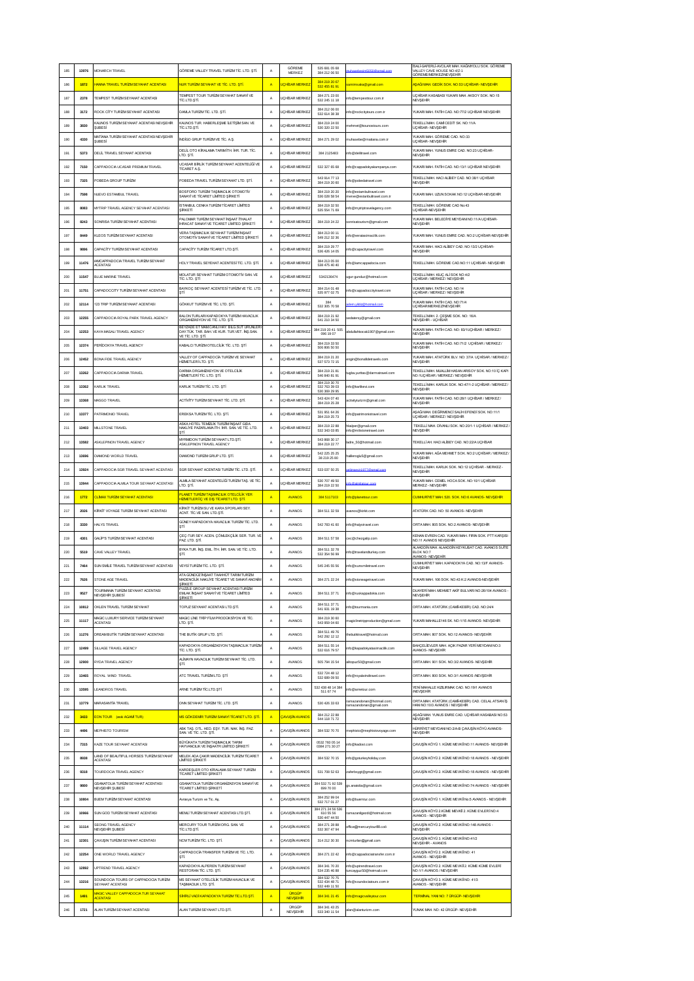| 185 | 13976 | MONARCH TRAVEL                                                  | GÖREME VALLEY TRAVEL TURIZM TİC. LTD. ŞTİ                                                       | А              | GÖREME<br>MERKEZ               | 535 681 05 68<br>384 212 06 50                  |                                                       | SALİ-GAFERLİ AVCILAR MAH. KAĞNIYOLU SOK. GÖREME<br>VALLEY CAVE HOUSE NO:4/Z-1                    |
|-----|-------|-----------------------------------------------------------------|-------------------------------------------------------------------------------------------------|----------------|--------------------------------|-------------------------------------------------|-------------------------------------------------------|--------------------------------------------------------------------------------------------------|
| 186 | 1872  | HANNA TRAVEL TURÍZM SEYAHAT ACENTASI                            | NUR TURİZM SEYAHAT VE TİC. LTD. STİ                                                             | $\overline{A}$ | <b>JCHISAR MERKE</b>           | 384 219 20 67                                   | amimsaka@gmail.com                                    | ÖREME/MERKEZ/NEVSEHIR<br>AŞAĞI MAH. GEDİK SOK. NO:53 UÇHİSAR- NEVŞEHİR                           |
|     |       |                                                                 | <b>TEMPEST TOUR TURIZM SEYAHAT SANAYI VE</b>                                                    |                |                                | 532 455 81 91<br>384 271 23 00                  |                                                       | UCHISAR KASABASI YUKARI MAH. AKSOY SOK. NO:15                                                    |
| 187 | 2378  | TEMPEST TURIZM SEYAHAT ACENTASI                                 | TÍC.LTD.STÍ.                                                                                    | А              | <b>UCHÍSAR MERKEZ</b>          | 532 245 11 18                                   | nfo@tempesttour.com.tr                                | <b>NEVSEHIR</b>                                                                                  |
| 188 | 3172  | ROCK CITY TURIZM SEYAHAT ACENTASI                               | DAMLA TURÍZM TÍC. LTD. STÍ.                                                                     | А              | <b>UCHÍSAR MERKEZ</b>          | 384 212 06 00<br>532 614 38 38                  | info@rockcitytours.com.tr                             | YUKARI MAH. FATÎH CAD. NO:77/2 UÇHÎSAR NEVŞEHÎR                                                  |
| 189 | 3830  | <b>KAUNOS TURÍZM SEYAHAT ACENTASI NEVŞEHÎR</b><br><b>SUBESi</b> | KAUNOS TUR. HABERLEŞME LETİŞİM SAN. VE<br>TİC.LTD.ŞTİ.                                          | Α              | <b>UCHISAR MERKEZ</b>          | 384 219 24 00<br>530 320 22 50                  | nehmet@kounastours.com                                | TEKELLİ MAH. CAMİ CEDİT SK. NO:11/A<br>LCHSAR- NEVSEHR                                           |
| 190 | 4330  | MATÍANA TURÍZM SEYAHAT ACENTASI NEVŞEHİR<br>SUBESİ              | NDÍGO GRUP TURÍZM VE TÍC. A S                                                                   | A              | <b>UCHISAR MERKE</b>           | 384 271 29 02                                   | nuhasebe@matiana.com.tr                               | YUKARI MAH. GÖREME CAD. NO:33<br>UCHISAR- NEVSEHIR                                               |
| 191 | 5373  | DELIL TRAVEL SEYAHAT ACENTASI                                   | DELIL OTO KIRALAMA TARIMITH. IHR. TUR. TIC                                                      | A              | <b>UCHISAR MERKEZ</b>          | 384 2125483                                     | info@delitravel.com                                   | YUKARI MAH. YUNUS EMRE CAD. NO:23 UÇHİSAR-<br>NEVSEHIR                                           |
|     |       |                                                                 | LTD. STİ.<br>JCASAR BİRLİK TURİZM SEYAHAT ACENTELİĞİ VE                                         |                |                                |                                                 |                                                       |                                                                                                  |
| 192 | 7150  | CAPPADOCIA UCASAR PREMUM TRAVEL                                 | <b>TÍCARET AS</b>                                                                               | А              | UÇHİSAR MERKEZ                 | 532 327 65 68<br>543 914 77 13                  | nfo@cappadokyakampanya.com                            | YUKARI MAH. FATÎH CAD. NO:13/1 UÇHÎSAR NEVŞEHÎR<br>TEKELLİ MAH. HACI ALİBEY CAD. NO:38/1 UCHİSAR |
| 193 | 7325  | POBEDA GROUP TURIZM                                             | POBEDA TRAVEL TURIZM SEYAHAT LTD. STİ.                                                          | А              | <b>UCHISAR MERKE</b>           | 384 219 20 60                                   | nfo@pobedatravel.com                                  | NEVSEHIR                                                                                         |
| 194 | 7598  | NUEVO ESTAMBULTRAVEL                                            | BOSEORO TURÍZM TASIMACILIK OTOMOTÍV<br>SANAYÎ VE TÎCARET LÎMÎTED ŞÎRKETÎ                        | A              | <b>UCHÍSAR MERKEZ</b>          | 384 219 20 20<br>536 028 58 54                  | info@estambuitravel.com<br>erve@estanbultravel.com.tr | YUKARI MAH. UZUN SOKAK NO:12 UÇHÎSAR-NEVŞEHÎR                                                    |
| 195 | 8083  | MYTRIP TRAVEL AGENCY SEYAHAT ACENTASI                           | STANBUL CENKA TURÍZM TÍCARET LÍMÍTED<br>SİRKETİ                                                 | А              | <b>UCHÍSAR MERKEZ</b>          | 384 219 32 50<br>535 554 71 69                  | nfo@mytriptravelagency.com                            | TEKELLİ MAH. GÖREME CAD No:43<br>UCHISAR-NEVSEHIR                                                |
| 196 | 8243  | SONRISA TURÍZM SEYAHAT ACENTASI                                 | ALOMAR TURİZM SEYAHAT İNŞAAT İTHALAT<br><b>IHRACAT SANAYI VE TICARET LIMITED SIRKETI</b>        | A              | <b>UCHISAR MERKEZ</b>          | 384 219 24 22                                   | onrisatourism@gmail.com                               | YUKARI MAH. BELEDIYE MEYDANI NO:11/A UÇHİSAR-<br>NEVSEHIR                                        |
| 197 | 8449  | KLEOS TURÍZM SEYAHAT ACENTASI                                   | <b>VERA TASIMACILIK SEYAHAT TURÍZM İNSAAT</b>                                                   | A              | <b>UCHISAR MERKEZ</b>          | 384 213 00 11                                   | nfo@veratasimacilik.com                               | YUKARI MAH. YUNUS EMRE CAD. NO:2 UÇHİSAR-NEVŞEHİR                                                |
|     |       |                                                                 | OTOMOTIV SANAYI VE TICARET LIMITED SIRKETI                                                      |                |                                | 549 212 32 36<br>384 219 29 77                  |                                                       | YUKARI MAH. HACI ALİBEY CAD. NO:13/2 UÇHİSAR-                                                    |
| 198 | 9896  | CAPACITY TURIZM SEYAHAT ACENTAS                                 | CAPACITY TURIZM TICARET LTD.STI.                                                                | А              | <b>JCHISAR MERKE</b>           | 536 426 14 05                                   | nfo@capacitytravel.com                                | NEVSEHIR                                                                                         |
| 199 | 11476 | AMCAPPADOCIA TRAVEL TURIZM SEYAHAT<br><b>ACENTASI</b>           | IOLY TRAVEL SEYEHAT ACENTES  TIC. LTD. STI                                                      | А              | <b>JCHISAR MERKE</b>           | 384 213 05 00<br>538 475 40 40                  | nfo@iamcappadocia.com                                 | TEKELLÎ MAH. GÖREME CAD.NO:11 UÇHÎSAR- NEVŞEHÎR                                                  |
| 200 | 11547 | BLUE MARINE TRAVEL                                              | MOLATUR SEYAHAT TURİZM OTOMOTİV SAN. VE<br>TÍC. LTD. STÍ                                        | А              | <b>JCHISAR MERKE</b>           | 5342136474                                      | gur-gunduz@hotmail.com                                | TEKELLİ MAH. KILIC ALİ SOK NO:4/2<br>JÇHİSAR / MERKEZ / NEVŞEHİR                                 |
| 201 | 11751 | CAPADOCCITY TURÍZM SEYAHAT ACENTASI                             | BAYKOC SEYAHAT ACENTES  TURIZM VE TIC. LTD<br>STİ                                               | А              | <b>UCHÍSAR MERKEZ</b>          | 384 214 01 48<br>535 977 02 75                  | nfo@cappadoccitytravel.com                            | YUKARI MAH. FATÎH CAD. NO:14<br>UCHISAR / MERKEZ / NEVSEHIR                                      |
| 202 | 12114 | 123 TRIP TURIZM SEYAHAT ACENTASI                                | GÖKKUT TURÍZM VE TÍC. LTD. STÍ.                                                                 | А              | <b>UCHÍSAR MERKEZ</b>          | 384<br>532 305 70 58                            |                                                       | YUKARI MAH. FATÎH CAD. NO:71/4<br>UCHISAR/MERKEZ/NEVSEHIR                                        |
| 203 | 12255 | CAPPADOCIA ROYAL PARK TRAVEL AGENCY                             | ALON TURLARI KAPADOKYA TURIZM HAVACILIK                                                         |                | <b>UCHÍSAR MERKEZ</b>          | 384 219 21 92                                   |                                                       | EKELLÎ MAH. 2. ÇEŞME SOK. NO: 16/A                                                               |
|     |       |                                                                 | ORGANÍZASYON VE TÍC. LTD. STÍ.<br>BEYZADE ET MAM CAN THAY BLG SÚT ÚRÚN ER                       | Α              |                                | 541 210 34 50<br>384 219 20 41 505              | edatersy@gmail.com                                    | NEVSEHIR - LICHISAR                                                                              |
| 204 | 12253 | KAYA MASALI TRAVEL AGENCY                                       | DAY.TÜK. TAR. BAH. VE KUR. TUR.VET. İNŞ.SAN.<br>/E TÍC. LTD. STÍ                                | Α              | <b>UCHÍSAR MERKEZ</b>          | 096 19 07                                       | abdullahkocak1907@gmail.com                           | UKARI MAH. FATIH CAD. NO: 83/1UÇHİSAR / MERKEZ /<br>NEVSEHIR                                     |
| 205 | 12374 | PERÍDOKYA TRAVEL AGENCY                                         | KABALCI TURİZM OTELCİLİK TİC. LTD. STİ                                                          | А              | <b>UCHISAR MERKE</b>           | 384 219 33 50<br>506 806 50 50                  |                                                       | YUKARI MAH. FATÎH CAD. NO:71/2 UÇHÎSAR / MERKEZ /<br>NEVSEHIR                                    |
| 206 | 12452 | BONA FIDE TRAVEL AGENCY                                         | VALLEY OF CAPPADOCÍA TURÍZM VE SEYAHAT<br>HÍZMETLERÍ LTD. STÍ.                                  | А              | <b>UCHISAR MERKEZ</b>          | 384 219 21 20<br>537 573 72 15                  | ngin@bonafidetravels.com                              | YUKARI MAH. ATATÜRK BLV. NO: 37/A UÇHÎSAR / MERKEZ.<br>NEVSEHIR                                  |
| 207 | 13262 | CAPPADOCIA DARMA TRAVEL                                         | DARMA ORGANIZASYON VE OTELCILIK<br>IZMETLERÍTÍC. LTD. STÍ.                                      | А              | <b>UCHÍSAR MERKEZ</b>          | 384 219 21 81<br>546 840 81 91                  | ugba.yurttas@darmatravel.cor                          | TEKELLİ MAH. MUALLİM HASAN ARISOY SOK. NO:10 İÇ KAPI<br>NO:1UCHISAR / MERKEZ / NEVSEHIR          |
| 208 | 13362 | KARLIK TRAVEL                                                   | KARLIK TURİZM TİC. LTD. ŞT                                                                      | А              | <b>UCHISAR MERKEZ</b>          | 384 219 30 70<br>532 763 39 03                  | nfo@karlikevi.com                                     | TEKELLİ MAH. KARLIK SOK. NO:47/1-2 UÇHİSAR / MERKEZ /                                            |
|     |       |                                                                 |                                                                                                 |                |                                | 0 369 29 96<br>543 424 07 40                    |                                                       | <b><i>VEVSEHR</i></b><br>YUKARI MAH. FATÎH CAD. NO:28/1 UÇHÎSAR / MERKEZ /                       |
| 209 | 13368 | MASGO TRAVEL                                                    | ACTIVITY TURIZM SEYAHAT TIC. LTD. STI.                                                          | А              | <b>UCHÍSAR MERKEZ</b>          | 384 219 25 28                                   | ctivityturizm@gmail.com                               | NEVSEHIR                                                                                         |
| 210 | 13377 | PATRIMONIO TRAVEL                                               | EREKSA TURÍZM TÍC. LTD. STÍ.                                                                    | А              | <b>UCHÍSAR MERKEZ</b>          | 531 951 64 26<br>384 219 25 73                  | nfo@patrimoniotravel.com                              | AŞAĞI MAH. DEĞİRMENCİ SALİH EFENDİ SOK. NO:11/1<br>JCHISAR / MERKEZ / NEVSEHIR                   |
| 211 | 13403 | MILLSTONE TRAVEL                                                | ASKA HOTEL TEMIZLÍK TURZÍM ÍNSAAT GIDA<br>NAKLIYE PAZARLAMA İTH. İHR. SAN. VE TİC. LTD.         | A              | <b>JCHISAR MERKEZ</b>          | 384 219 22 88<br>532 343 03 85                  | ıkalper@gmail.com<br>nfo@milistonetravel.com          | TEKELLİ MAH. DİVANLI SOK. NO:20/1-1 UÇHİSAR / MERKEZ.<br>NEVSEHIR                                |
| 212 | 13582 | ASKLEPINON TRAVEL AGENCY                                        | MYRMDON TURİZM SEYAHAT LTD.ŞTİ.<br>ASKLEPINON TRAVEL AGENCY                                     | Α              | <b>UCHÍSAR MERKEZ</b>          | 543 868 30 17<br>384 219 22 77                  | adre_50@hotmail.com                                   | TEKELLİ AH. HACI ALİBEY CAD. NO:22/A UÇHİSAR                                                     |
| 213 | 13696 | DIAMOND WORLD TRAVEL                                            | DIAMOND TURİZM GRUP LTD. ŞTİ.                                                                   | А              | <b>JCHISAR MERKE</b>           | 542 225 25 25<br>38 219 25 80                   | alileroglu5@gmail.com                                 | YUKARI MAH. AĞA MEHMET SOK. NO:2 UÇHİSAR / MERKEZ/<br>NEVSEHIR                                   |
| 214 | 13924 | CAPPADOCIA SGR TRAVEL SEYAHAT ACENTASI                          | SGR SEYAHAT ACENTASI TURIZM TÍC. LTD. ȘTÎ.                                                      | А              | <b>JCHISAR MERKE</b>           | 533 037 50 25                                   | ir1977@                                               | TEKELLİ MAH. KARLIK SOK. NO:12 UÇHİSAR - MERKEZ -                                                |
|     |       |                                                                 | ALMILA SEYAHAT ACENTELÍĞÍ TURÍZM TAŞ. VE TÍC                                                    |                | <b>UÇHÎSAR MERKE</b>           | 530 707 49 50                                   |                                                       | NEVSEHIR<br>YUKARI MAH. CEMEL HOCA SOK. NO:10/1 UCHISAR                                          |
| 215 | 13944 | CAPPADOCIA ALMILA TOUR SEYAHAT ACENTASI                         | LTD. STİ.                                                                                       | Α              |                                |                                                 |                                                       |                                                                                                  |
|     |       |                                                                 |                                                                                                 |                |                                | 384 219 22 50                                   |                                                       | <b><i>MERKEZ - NEVSEHR</i></b>                                                                   |
| 216 | 1772  | <mark>CLİMAX TURİZM SEYAHAT ACENTASI</mark>                     | PLANET TURÍZM TAŞIMACILIK OTELCÍLÍK YER<br>H <mark>IZMETLERÎ ÎÇ VE DIŞ TÎCARET LTD. ŞTÎ.</mark> | $\overline{A}$ | <b>AVANOS</b>                  | 384 5117103                                     | fo@planettour.com                                     | CUMHURÍYET MAH. 520. SOK. NO:6 AVANOS- NEVŞEHÎR                                                  |
| 217 | 2026  | KİRKİT VOYAGE TURİZM SEYAHAT ACENTASI                           | KİRKİT TURİZM SU VE KARA SPORLARI SEY.<br>ACNT. TIC.VE SAN. LTD. STI.                           | А              | <b>AVANOS</b>                  | 384 511 32 59                                   | wanos@kirkit.com                                      | ATATÜRK CAD. NO: 50 AVANOS- NEVSEHÍR                                                             |
| 218 | 3330  | HALYS TRAVEL                                                    | GÜNEY KAPADOKYA HAVACILIK TURİZM TİC. LTD.<br>STİ                                               | А              | <b>AVANOS</b>                  | 542 783 41 60                                   | nfo@halystravel.com                                   | ORTA MAH. 805 SOK. NO:2 AVANOS- NEVSEHIR                                                         |
| 219 | 4301  | GALIP'S TURIZM SEYAHAT ACENTASI                                 | ÇEÇ-TUR SEY. ACEN. ÇÖMLEKÇİLİK SER. TUR. VE                                                     | Α              | AVANOS                         | 384 511 57 58                                   | ec@chezgalip.com                                      | (ENAN EVREN CAD. YUKARI MAH. FIRIN SOK. PTT KARŞISI                                              |
|     |       |                                                                 | PAZ LTD. STİ.<br>BYKA TUR. INŞ. EML. İTH. IHR. SAN. VE TİC. LTD.                                |                |                                | 384 511 32 78                                   |                                                       | NO:11 AVANOS NEVSEHIR<br>ALAADDIN MAH. ALAADDIN KEYKUBAT CAD. AVANOS SUITE                       |
| 220 | 5519  | CAVE VALLEY TRAVEL                                              | STI.                                                                                            | А              | AVANOS                         | 532 354 56 99                                   | info@travelandturkey.com                              | BLOK NO:7<br>VANOS- NEVSEHIR                                                                     |
| 221 | 7464  | SUN SMILE TRAVEL TURIZM SEYAHAT ACENTAS                         | VEYSİ TURİZM TİC. LTD. ŞTİ.                                                                     | А              | AVANOS                         | 545 245 55 56                                   | info@sunsmiletravel.com                               | CUMHURIYET MAH. KAPADOKYA CAD. NO:13/F AVANOS-<br>NEVSEHIR                                       |
| 222 | 7626  | STONE AGE TRAVEL                                                | ATA GÜNDÜZ İNŞAAT TAAHHÜT TARIM TURİZM<br>MADENCILIK NAKLIYE TİCARET VE SANAYİ ANONIN<br>RKFT   | A              | AVANOS                         | 384 271 22 24                                   | info@stoneagetravel.com                               | YUKARI MAH. 106 SOK. NO:43 K:2 AVANOS-NEVSEHÎR                                                   |
| 223 | 9527  | TOURMANA TURÍZM SEYAHAT ACENTASI<br><b>VEVSEHR SUBESI</b>       | PUZZLE GROUP SEYAHAT ACENTASI TURIZM<br>EMLAK INŞAAT SANAYİ VE TİCARET LİMİTED<br>SIRKETI       | А              | AVANOS                         | 384 511 37 71                                   | info@ruskappadokia.com                                | DUAYERÎ MAH, MEHMET AKÎF BULVARI NO 26/104 AVANOS -<br>NEVSEHIR                                  |
| 224 | 10812 | OKLEN TRAVEL TURIZM SEYAHAT                                     | TOPUZ SEYAHAT ACENTASI LTD.STİ.                                                                 | A              | <b>AVANOS</b>                  | 384 511 37 71<br>541 931 19 38                  | nfo@tourmania.com                                     | ORTA MAH, ATATÜRK (CAMÎ-KEBÎR) CAD, NO:24/4                                                      |
| 225 | 11117 | MAGIC LUXURY SERVICE TURÍZM SEYAHAT                             | MAGIC LINE TRIP FILM PRODUKSIYON VE TIC.                                                        | A              | <b>AVANOS</b>                  | 384 219 30 60                                   |                                                       | YUKARI MAHALLE146 SK. NO:1/15 AVANOS- NEVSEHÍR                                                   |
|     |       | <b>ACENTASI</b>                                                 | LTD. ȘTI.                                                                                       |                |                                | 543 959 04 60<br>384 511 49 76                  | nagiclinetripproduction@gmail.com                     |                                                                                                  |
| 226 | 11276 | DREAM BUTIK TURIZM SEYAHAT ACENTASI                             | THE BUTIK GRUP LTD. STI.                                                                        | A              | AVANOS                         | 542 292 12 12                                   | hebutiktravel@hotmail.com                             | ORTA MAH. 807 SOK. NO:12 AVANOS- NEVSEHIR                                                        |
| 227 | 12499 | SILLAGE TRAVEL AGENCY                                           | KAPADOKYA ORGANIZASYON TAŞIMACILIK TURİZI<br>TÍC. LTD. STÍ.                                     | А              | AVANOS                         | 384 511 55 14<br>532 616 79 57                  | info@kapadokyatasimacilik.com                         | BAHÇELİEVLER MAH. AÇIK PAZAR YERÎ MEYDANI NO:3<br>AVANOS- NEVSEHIR                               |
| 228 | 12900 | RYDA TRAVEL AGENCY                                              | ALÍMAYN HAVACILIK TURÍZM SEYAHAT TÍC. LTD.<br>STİ.                                              | A              | AVANOS                         | 505 794 15 54                                   | inopuz50@gmail.com                                    | ORTA MAH. 901 SOK. NO:3/2 AVANOS- NEVSEHÍR                                                       |
| 229 | 13465 | ROYAL WIND TRAVEL                                               | ATC TRAVEL TURIZMLTD, STI                                                                       | A              | AVANOS                         | 532 724 48 12<br>532 689 09 50                  | fo@royalwindtravel.com                                | ORTA MAH, 800 SOK, NO:3/1 AVANOS /NEVSEHIR                                                       |
| 230 | 13595 | LEANDROS TRAVEL                                                 | ARNE TURÍZM TÍC LTD. ȘTÍ                                                                        | А              | AVANOS                         | 532 438 48 14 384                               | fo@arnetour.com                                       | YENÎ MAHALLE KIZILIRMAK CAD. NO:19/1 AVANOS                                                      |
|     |       |                                                                 |                                                                                                 |                |                                | 511 67 74                                       | amazandonan@hotmail.com;                              | NEVSEHIR<br>ORTA MAH. ATATÜRK (CAMÎ-KEBÎR) CAD. CELAL ATSAN İŞ                                   |
| 231 | 13779 | MARASANTÍA TRAVEL                                               | DNN SEYAHAT TURİZM TİC. LTD. STİ.                                                               | А              | AVANOS                         | 530 426 33 63<br>384 212 22 88                  | amazandonan@gmail.com                                 | <b>IANI NO:10/3 AVANOS / NEVSEHIR</b><br>ASAĞI MAH, YUNUS EMRE CAD, UCHİSAR KASABASI NO:53       |
| 232 | 3433  | <b>EON TOUR (eski AGAMÍ TUR)</b>                                | MS GÖKDEMIR TURİZM SANAYİ TİCARET LTD. STİ                                                      | $\overline{A}$ | <b>CAVUSÍN AVANOS</b>          | 544 118 71 72                                   |                                                       | NEVSEHIR                                                                                         |
| 233 | 4496  | MEPHISTO TOURISM                                                | ABK TAS, OTL, HED, ESY, TUR, NAK, INS, PAZ.<br>SAN VE TIC ITD STI                               | А              | CAVUSÍN AVANOS                 | 384 532 70 70                                   | nephisto@mephistovoyage.com                           | HÜRRÎYET MEYDANI NO:2/A-B ÇAVUŞÎN KÖYÜ AVANOS-<br>NEVSEHIR                                       |
| 234 | 7315  | KAZE TOUR SEYAHAT ACENTASI                                      | BÜYÜKATA TURİZM TAŞIMACILIK TARIM<br>HAYVANCILIK VE İNSAATR LİMİTED SİRKETİ                     | Α              | <b>CAVUSÍN AVANOS</b>          | 0532 760 05 14<br>0384 271 30 27                | nfo@kadost.com                                        | ÇAVUŞİN KÖYÜ 1. KÜME MEVKİİ NO:11 AVANOS- NEVŞEHİR                                               |
| 235 | 8938  | AND OF BEAUTIFUL HORSES TURIZM SEYAHAT<br><b>ACENTASI</b>       | MELEK ADA ÇAKIR MADENCILİK TURİZM TİCARET<br>LIMTED ŞİRKETİ                                     | А              | CAVUSÍN AVANOS                 | 384 532 70 15                                   | info@goturkeyholiday.com                              | ÇAVUŞİN KÖYÜ 2. KÜME MEVKİİ NO:18 AVANOS - NEVŞEHİR                                              |
| 236 | 9318  | TOURDOCIA TRAVEL AGENCY                                         | KARDEŞLER OTO KİRALAMA SEYAHAT TURİZM                                                           | A              | CAVUSÍN AVANOS                 | 531 708 52 63                                   |                                                       | CAVUSÎN KÖYÜ 2. KÜME MEVKÎÎ NO:18 AVANOS - NEVŞEHÎR                                              |
|     |       | GSANATOLIA TURÍZM SEYAHAT ACENTASI                              | TICARET LIMITED SIRKETI<br>GSANATOLIA TURÍZM ORGANÍZASYON SANAYÍ VE                             |                |                                | 384 532 71 92 539                               | aferbsygt@gmail.com                                   |                                                                                                  |
| 237 | 9800  | NEVŞEHÎR ŞUBESÎ                                                 | TİCARET LİMİTED ŞİRKETİ                                                                         | А              | CAVUSÍN AVANOS                 | 699 70 00                                       | gs.anatolia@gmail.com                                 | CAVUSÎN KÖYÜ 2. KÜME MEVKÎÎ NO:74 AVANOS - NEVŞEHÎR                                              |
| 238 | 10804 | BUEM TURÍZM SEYAHAT ACENTASI                                    | wrasya Turizm ve Tic. Aş.                                                                       | Α              | ÇAVUŞİN AVANOS                 | 384 252 99 04<br>532 717 01 27                  | nfo@buemtur.com                                       | AVUŞÎN KÖYÜ 1. KÜME MEVKÎÎ No:5 AVANOS - NEVŞEHÎR                                                |
| 239 | 10966 | SUN GOD TURIZM SEYAHAT ACENTASI                                 | MEMLİ TURİZM SEYAHAT ACENTASI LTD.ŞTİ.                                                          | А              | CAVUSIN AVANOS                 | 384 271 24 56 536<br>610.55.56<br>530 447 44 50 | amazanîgezdi@hotmail.com                              | AVUŞİN KÖYÜ 2.KÜME MEVKİİ 2. KÜME EVLERİ NO:4<br>WANOS - NEVSEHIR                                |
| 240 | 11114 | SEONG TRAVEL AGENCY<br>NEVSEHIR SUBESI                          | MERCURY TOUR TURIZM ORG. SAN. VE<br>TÍC.LTD.STÍ.                                                | А              | CAVUSÍN AVANOS                 | 384 271 28 88<br>532 367 47 94                  | ffice@mercurytour88.coö                               | CAVUSÍN KÖYÜ 2. KÜME MEVKİİ NO:148 AVANOS -<br>NEVSEHIR                                          |
| 241 | 12301 | CAVUSIN TURÍZM SEYAHAT ACENTASI                                 | NCM TURIZM TIC. LTD. STI.                                                                       | А              | <b>CAVUSÍN AVANOS</b>          | 314 212 30 30                                   | cmturlan@gmail.com                                    | AVUŞİN KÖYÜ 3. KÜME MEVKİİ NO:41/2                                                               |
|     |       |                                                                 | CAPPADOCÍA TRANSFER TURÍZM VE TÍC. LTD.                                                         |                |                                |                                                 |                                                       | <b>NEVSEHIR - AVANOS</b><br>CAVUŞÎN KÖYÜ 2. KÜME MEVKÎÎ NO: 41                                   |
| 242 | 12254 | ONE WORLD TRAVEL AGENCY                                         | STİ.                                                                                            | A              | <b>CAVUSÍN AVANOS</b>          | 384 271 22 42<br>384 341 70 20                  | nfo@cappadociatransfer.com.tr                         | AVANOS - NEVSEHÍR                                                                                |
| 243 | 12892 | UPTREND TRAVEL AGENCY                                           | KAPADOKYA ALPEREN TURÍZM SEYAHAT<br>RESTORAN TÍC. LTD. ȘTÎ.                                     | A              | CAVUSÍN AVANOS                 | 534 235 46 88                                   | nfo@uptrendtravel.com<br>uncayguz50@hotmail.com       | ÇAVUŞÎN KÖYÜ 2. KÜME MEVKÎÎ 2. KÜME KÜME EVLERÎ<br>NO:1/1 AVANOS / NEVSEHÍR                      |
| 244 | 13216 | SOUNDOCIA TOURS OF CAPPADOCIA TURIZM<br>SEYAHAT ACENTASI        | MS SEYAHAT OTELCİLİK TURİZM HAVACILIK VE<br>TASIMACILIK LTD. STİ.                               | A              | CAVUSIN AVANOS                 | 384 532 70 75<br>532 434 48 71<br>532 449 11 50 | nfo@soundociatours.com.tr                             | CAVUSÍN KÖYÜ 3. KÜME MEVKÎİ NO: 41/3<br>AVANOS - NEVSEHIR                                        |
| 245 | 1491  | MAGIC VALLEY CAPPADOCIA TUR SEYAHAT<br><b>ACENTAS</b>           | <mark>SİHİRLİ VADİ KAPADOKYA TURİZM TİC LTD.ŞTİ.</mark>                                         | A              | <b>URGÜP</b><br><b>NEVSEHR</b> | 384 341 21 45                                   | nfo@magicvalleytour.com                               | TERMINAL YANI NO: 7 ÜRGÜP- NEVŞEHIR                                                              |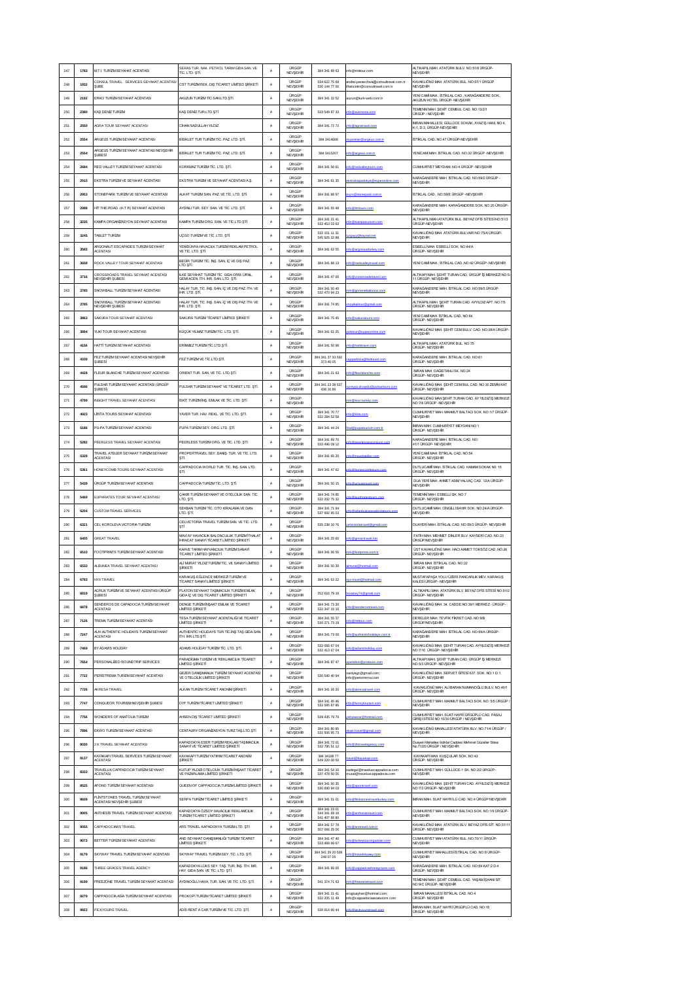| 247 | 1783 | M.T.İ. TURİZM SEYAHAT ACENTASI                                                 | SERAS TUR. NAK. PETROL TARIM GIDA SAN. VE<br>TÍC. LTD. STÍ.                      | A           | <b>URGUP</b><br>NEVSEHR         | 384 341 89 93                      | nfo@mtitour.com                                                     | LTIKAPILI MAH. ATATÜRK BULV. NO:51/8 ÜRGÜP<br><b>NEVSEHIR</b>                           |
|-----|------|--------------------------------------------------------------------------------|----------------------------------------------------------------------------------|-------------|---------------------------------|------------------------------------|---------------------------------------------------------------------|-----------------------------------------------------------------------------------------|
| 248 | 1932 | CONSUL TRAVEL SERVICES SEYAHAT ACENTAS<br>SUBE                                 | CST TURIZM REK. DIŞ TİCARET LİMİTED ŞİRKETİ                                      | А           | <b>URGUP</b><br><b>NEVSEHR</b>  | 534 622 75 69<br>530 144 77 56     | ndrei.paraschwa@consultravel.com.tr<br>hancetin@consultravel.com.tr | (AVAKLIÖNÜ MAH. ATATÜRK BUL. NO:57/1 ÜRGÜP<br>NEVSEHIR                                  |
| 249 | 2192 | ERKO TURÍZM SEYAHAT ACENTASI                                                   | AKUZUN TURIZM TİC SANLTD ŞTİ.                                                    | A           | <b>URGÜP</b><br><b>NEVSEHR</b>  | 384 341 32 52                      | uzun@turk-web.com.tr                                                | YENÎ CAMÎ MAH., İSTÎKLAL CAD., KARAĞANDERE SOK.<br>AKUZUN HOTEL ÜRGÜP- NEVSEHİR         |
| 250 | 2380 | KAŞ DENİZ TURİZM                                                               | (AS DENIZ TUR.LTD.STI                                                            | A           | <b>ORGOP</b><br>NEVŞEHR         | 533 549 87 33                      |                                                                     | TEMENNÍ MAH. SEHÍT CEMBUL CAD. NO:13/2/1<br>ÜRGÜP / NEVŞEHİR                            |
| 251 | 2550 | <b>IGRA TOUR SEYAHAT ACENTASI</b>                                              | CÍHAN SADULLAH YILDIZ                                                            | A           | <b>ÜRGÜP</b><br>NEVSEHR         | 384 341 72 72                      |                                                                     | MRAN MAHALLESÍ, GÜLLÜCE SOKAK, AYAZ ÍS HANI, NO:4,<br>K:1. D:3. ÜRGÜP-NEVSEHİR          |
| 252 | 2554 | ARGEUS TURÍZM SEYAHAT ACENTASI                                                 | BİSİKLET TUR TURİZM TİC. PAZ. LTD. ŞTİ.                                          | Α           | <b>ÜRGÜP</b><br>NEVSEHR         | 384 3414688                        |                                                                     | ISTIKLAL CAD. NO:47 ÜRGÜP-NEVŞEHİR                                                      |
| 253 | 2554 | ARGEUS TURÍZM SEYAHAT ACENTASI NEVŞEHÎR                                        | BİSİKLET TUR TURİZM TİC. PAZ. LTD. ŞTİ.                                          | Α           | <b>URGUP</b>                    | 384 3415 207                       |                                                                     | YENÎCAMÎ MAH. ÎSTÎKLAL CAD. NO:32 ÛRGÛP -NEVŞEHÎR                                       |
| 254 | 2684 | <b>SLIBES</b><br>RED VALLEY TURIZM SEYAHAT ACENTASI                            | KORKMAZ TURÍZM TÍC. LTD. STÍ.                                                    | A           | NEVŞEHR<br><b>URGÜP</b>         | 384 341 50 61                      |                                                                     | CUMHURIYET MEYDANI, NO:4 ÜRGÜP -NEVSEHİR                                                |
|     |      |                                                                                |                                                                                  |             | NEVSEHR<br><b>URGUP</b>         |                                    |                                                                     | ARAĞANDERE MAH. İSTİKLAL CAD. NO:59/2 ÜRGÜP -                                           |
| 255 | 2915 | <b>EKSTRA TURÍZM VE SEYAHAT ACENTASI</b>                                       | EKSTRA TURIZM VE SEYAHAT ACENTASI A.S.                                           | А           | <b>NEVSEHR</b><br><b>ÜRGÜR</b>  | 384 341 61 35                      |                                                                     | NEVSEHIR                                                                                |
| 256 | 2953 | STONEPARK TURIZM VE SEYAHAT ACENTASI                                           | ALKAT TURİZM SAN. PAZ. VE TİC. LTD. ŞTİ.                                         | A           | <b>NEVSEHR</b><br><b>ORGOP</b>  | 384 341 88 97                      | urs Ast<br>ark.com.tr                                               | ISTIKLAL CAD., NO:59/E ÜRGÜP -NEVŞEHİR<br>ARAĞANDERE MAH, KARAĞANDERE SOK, NO:20 ÜRGÜP- |
| 257 | 2998 | HIT.THE.ROAD. (H.T.R) SEYAHAT ACENTASI                                         | AYDINLI TUR. SEY. SAN. VE TİC. LTD. ŞTİ.                                         | A           | <b>NEVSEHR</b>                  | 384 341 55 48                      | <b>fo@htrto</b>                                                     | NEVSEHR                                                                                 |
| 258 | 3235 | KAMPA ORGANIZASYON SEYAHAT ACENTAS                                             | <b>KAMPA TURÍZM ORG. SAN. VE TÍC.LTD.STÍ.</b>                                    | A           | <b>ÜRGÜP</b><br>NEVŞEHR         | 384 341 21 41<br>532 453 03 63     |                                                                     | ALTIKAPILI MAHATATÜRK BUL. BEYAZ OFİS SİTESİ NO:51/3<br>ÜRGÜP-NEVSEHIR                  |
| 259 | 3245 | <b>TABLET TURIZM</b>                                                           | UÇGO TURİZM VE TİC. LTD. ŞTİ.                                                    | A           | <b>ÜRGÜP</b><br>NEVSEHR         | 532 151 11 31<br>545 925 32 88     |                                                                     | KAVAKLIÖNÜ MAH. ATATÜRK BULVARI NO:75/A ÜRGÜP-<br><b><i>VEVSEHR</i></b>                 |
| 260 | 3565 | ARGONAUT ESCAPADES TURIZM SEYAHAT<br><b>ACENTASI</b>                           | YENÎDÛNYA HAVACILK TURÎZM REKLAM PETROL<br>E TÍC. LTD. STÍ                       | Α           | <b>ÜRGÜP</b><br>NEVSEHR         | 384 341 62 55                      |                                                                     | SBELLÍ MAH. ESBELLÍ SOK. NO:44/A<br>RGÜP- NEVŞEHİR                                      |
| 261 | 3658 | ROCK VALLEY TOUR SEYAHAT ACENTASI                                              | BEDIR TURIZM TİC. İNŞ. SAN. İÇ VE DIŞ PAZ.<br>TD.STİ.                            | Α           | <b>ÜRGÜP</b><br>NEVSEHR         | 384 341 88 13                      |                                                                     | YENİ CAMİ MAH., İSTİKLAL CAD.,NO:42 ÜRGÜP- NEVŞEHİR                                     |
| 262 | 3716 | CROSSROADS TRAVEL SEYAHAT ACENTASI<br>NEVŞEHIR ŞUBESİ                          | ILKE SEYAHAT TURİZM TİC. GIDA ORM. ÜRNL.<br>SEM ACEN. ITH. IHR. SAN. LTD. ŞTİ.   | А           | <b>ÜRGÜP</b><br>NEVSEHR         | 384 341 47 00                      |                                                                     | ALTIKAPI MAH. ŞEHİT TURAN CAD. ÜRGÜP İŞ MERKEZİ NO:5<br>11 ÜRGÜP- NEVSEHİR              |
| 263 | 3785 | SNOWBALL TURIZM SEYAHAT ACENTASI                                               | WLAY TUR. TÍC. ÍNŞ. SAN. ÍÇ VE DIŞ PAZ. İTH. VE<br>IHR. LTD. STI.                | A           | <b>URGUP</b><br><b>NEVSEHR</b>  | 384 341 50 40<br>532 470 94 23     | lo @ aoremeba                                                       | ARAĞANDERE MAH. İSTİKLAL CAD. NO:59/5 ÜRGÜP-<br>NEVSEHIR                                |
| 264 | 3785 | NOWBALL TURIZM SEYAHAT ACENTAS<br>NEVSEHIR SUBESİ                              | valay tur. Tic. inş. San. İç ve dış paz. İth. Ve<br>IHR. LTD. STI.               | A           | <b>URGUP</b><br><b>NEVSEHR</b>  | 384 341 74 85                      |                                                                     | ALTIKAPILI MAH. ŞEHÎT TURAN CAD. AYYILDIZ APT. NO:7/5<br>ÜRGÜP- NEVSEHÍR                |
| 265 | 3863 | SAKURA TOUR SEYAHAT ACENTASI                                                   | AKURA TURIZM TICARET LIMTED SIRKETI                                              | A           | <b>ORGOP</b><br>NEVSEHR         | 384 341 75 45                      | lo @saku                                                            | YENİ CAMİ MAH. İSTİKLAL CAD. NO:64<br>ÜRGÜP- NEVŞEHÎR                                   |
| 266 | 3894 | <b><i>I'LIKİ</i></b> TOUR SEYAHAT ACENTASI                                     | (ÜÇÜK YILMAZ TURİZM TİC. LTD. ŞTİ.                                               | A           | <b>ORGOP</b>                    | 384 341 61 25                      |                                                                     | KAVAKLIÖNÜ MAH. ŞEHÎT CEM BULV. CAD. NO:38/A ÜRGÜP-                                     |
| 267 | 4156 | HATTİ TURİZM SEYAHAT ACENTASI                                                  | ERINMEZ TURIZM TÍC LTD. ȘTÎ.                                                     | Α           | NEVSEHR<br><b>ÜRGÜP</b>         | 384 341 50 98                      |                                                                     | NEVSEHIR<br>ALTIKAPILI MAH. ATATÜRK BUL. NO:75                                          |
|     |      | FEZ TURÍZM SEYAHAT ACENTASI NEVSEHÍR                                           | FEZ TURIZM VE TÍC LTD.STÍ.                                                       |             | NEVSEHR<br><b>ÜRGÜP</b>         | 384 341 37 33 532                  |                                                                     | <b>JRGÚP-NEVSEHÍR</b><br>KARAĜANDERE MAH. ISTIKLAL CAD. NO:61                           |
| 268 | 4339 | SUBESİ                                                                         |                                                                                  | Α           | NEVSEHR<br><b>URGUP</b>         | 373 40 05                          |                                                                     | <b>JRGÜP-NEVSEHIR</b><br><b>IMRAN MAH. DAĞISTANLI SK. NO:24</b>                         |
| 269 | 4428 | FLEUR BLANCHE TURÍZM SEYAHAT ACENTASI<br>PULSAR TURÍZM SEYAHAT ACENTASI (ÜRGÜF | ORIENT TUR. SAN, VE TİC, LTD, STİ,                                               | A           | NEVSEHR<br><b>URGUP</b>         | 384 341 21 63<br>384 341 23 38 537 | fo@fleurblanche.com                                                 | ÜRGÜP- NEVSEHİR                                                                         |
| 270 | 4596 | SUBESI)                                                                        | PULSAR TURIZM SEYAHAT VE TICARET LTD. STI.                                       | A           | <b>NEVSEHR</b>                  | 438 16 86                          |                                                                     | AVAKLIÖNÜ MAH. ŞEHİT CEM BUL CAD. NO:30 ZEMİN KAT<br>ÜRGÜP- NEVŞEHİR                    |
| 271 | 4799 | <b>NSIGHT TRAVEL SEYAHAT ACENTASI</b>                                          | ISKIT TURIZM INS. EMLAK VE TIC. LTD. STI.                                        | A           | <b>ÜRGÜR</b><br><b>NEVSEHR</b>  |                                    | lo@tour-turkey.com                                                  | AVAKLIÖNÜ MAH.ŞEHİT.TURAN CAD. AY YILDIZ İŞ MERKEZİ<br>NO:7/6 ÜRGÜP -NEVSEHİR           |
| 272 | 4923 | LIRITA TOURS SEYAHAT ACENTASI                                                  | YAVER TUR. HAV. REKL. VE TİC. LTD. ŞTİ.                                          | A           | <b>ORGOP</b><br><b>NEVSEHR</b>  | 384 341 70 77<br>532 284 52 59     | fo@lirita.com                                                       | CUMHURÍYET MAH. MAHMUT BALTACI SOK. NO:1/7 ÜRGÜP<br><b>NEVSEHIR</b>                     |
| 273 | 5186 | PU-PA TURÍZM SEYAHAT ACENTASI                                                  | PUPA TURIZM SEY. ORG. LTD. STI                                                   | A           | <b>ORGOP</b><br><b>NEVSEHR</b>  | 384 341 44 24                      | rat@pu<br>om.tr                                                     | MRAN MAH. CUMHURÍYET MEYDANI NO:1<br>ÜRGÜP- NEVŞEHÎR                                    |
| 274 | 5282 | PEERLESS TRAVEL SEYAHAT ACENTAS                                                | PEERLESS TURIZM ORG. VE TIC. LTD. STI.                                           | A           | <b>ÜRGÜP</b><br><b>NEVSEHR</b>  | 384 341 69 70<br>533 496 09 12     |                                                                     | KARAĜANDERE MAH. ISTIKLAL CAD. NO:<br>41/1 ÜRGÜP- NEVŞEHÎR                              |
| 276 | 5328 | <b>FRAVEL ATELIER SEYAHAT TURIZM SEYAHAT</b><br><b>ACENTASI</b>                | PROPERTRAVEL SEY. DANIS. TUR. VE TIC. LTD.<br>STİ.                               | Α           | <b>ÜRGÜP</b><br>NEVŞEHR         | 384 341 65 20                      |                                                                     | YENÎ CAMÎ MAH. ÎSTÎKLAL CAD. NO:54<br><b>IRGÜP-NEVŞEHÎR</b>                             |
| 276 | 5361 | HONEYCOMB TOURS SEYAHAT ACENTASI                                               | CAPPADOCIA WORLD TUR. TÍC. INS. SAN. LTD.<br>STİ.                                | A           | <b>URGÜP</b><br>NEVŞEHR         | 384 341 47 62                      |                                                                     | DUTLUCAMÎ MAH. İSTÎKLAL CAD. HAMAM SOKAK NO: 15<br>ÜRGÜP- NEVŞEHÎR                      |
| 277 | 5439 | ÜRGÜP TURİZM SEYAHAT ACENTASI                                                  | CAPPADOCÍA TURÍZM TÍC. LTD. STÍ.                                                 | A           | <b>ÜRGÜP</b><br>NEVŞEHR         | 384 341 50 15                      |                                                                     | DUA YERÎ MAH. AHMET ASIM YALVAÇ CAD. 12/A ÜRGÜP-<br>NEVSEHIR                            |
| 278 | 5469 | EUPHRATES TOUR SEYAHAT ACENTASI                                                | CAKIR TURIZM SEYAHAT VE OTELCILIK SAN. TIC<br>LTD. STİ.                          | А           | <b>URGUP</b><br><b>NEVSEHR</b>  | 384 341 74 85<br>532 202 75 32     |                                                                     | TEMENNÍ MAH. ESBELLÍ SK. NO:7<br>ÜRGÜP- NEVSEHİR                                        |
| 279 | 6204 | <b>CUSTOM TRAVEL SERVICES</b>                                                  | SEKBAN TURÍZM TÍC. OTO KÍRALAMA VE DAN                                           | A           | <b>URGUP</b><br><b>NEVSEHR</b>  | 384 341 71 94<br>537 692 95.03     |                                                                     | DUTLUCAMÎ MAH. CÎNGÎLLÎ BAYIR SOK. NO:24/A ÛRGÛP                                        |
| 280 | 6321 | CEL KOROLEVA VICTORIA TURÍZM                                                   | LTD. STÍ.<br>CELVICTORIA TRAVEL TURÍZM SAN. VE TÍC. LTD                          | A           | <b>ORGOP</b>                    | 535 238 10 76                      |                                                                     | NEVSEHIR<br>DUAYERÎ MAH. ÎSTÎKLAL CAD. NO:59/3 ÜRGÜP- NEVŞEHÎR                          |
| 281 | 6405 | <b>GREAT TRAVEL</b>                                                            | STI<br>MAVÍ AY HAVACILIK BALONCULUK TURÍZM ÍTHALAT                               | A           | NEVSEHR<br><b>ORGOP</b>         | 384 341 25 60                      |                                                                     | FATH MAH. MEHMET DINLER BLV. KAYSERİ CAD. NO:23                                         |
|     |      |                                                                                | IHRACAT SANAYİ TİCARET LİMİTED ŞİRKETİ<br>KAHVE TARIM HAYVANCILIK TURİZM SANAYİ  |             | NEVSEHR<br><b>ÜRGÜP</b>         |                                    |                                                                     | <b>JRGÜP/NEVSEHIR</b><br><b>ÚST KAVAKI IÖNÜ MAH HACI AHMET TOKSÖZ CAD NO-26</b>         |
| 282 | 6510 | FOOTPRINTS TURIZM SEYAHAT ACENTASI                                             | <b>FICARET LIMITED SIRKETI</b><br>ALÍ MURAT YILDIZ TURÍZM TÍC. VE SANAYÍ LÍMÍTED | A           | NEVSEHR<br><b>ÜRGÜP</b>         | 384 341 36 55                      |                                                                     | <b>JRGÜP-NEVSEHIR</b><br>IMRAN MAH. ISTIKLAL CAD. NO:22                                 |
| 283 | 6533 | ALBUNEA TRAVEL SEYAHAT ACENTASI                                                | SİRKETİ<br>KARAKUŞ EĞLENCE MERKEZİ TURİZM VE                                     | Α           | NEVSEHR<br><b>URGUP</b>         | 384 341 50 30                      |                                                                     | <b>JRGÜP-NEVSEHIR</b><br>MUSTAFAPAŞA YOLU ÜZERİ PANCARLIK MEV. KARAKUŞ                  |
| 284 | 6783 | NYX TRAVEL                                                                     | TİCARET SANAYİ LİMITED ŞİRKETİ                                                   | A           | NEVSEHR                         | 384 341 63 22                      |                                                                     | KALESİ ÜRGÜP- NEVŞEHİR                                                                  |
| 285 | 6819 | ACRUX TURÍZM VE SEYAHAT ACENTASI ÜRGÜP<br>SUBESİ                               | PLATON SEYAHAT TAŞIMACILIK TURİZMEMLAK<br>GIDA İÇ VE DIŞ TİCARET LİMİTED ŞİRKETİ | А           | <b>ÜRGÜP</b><br>NEVSEHR         | 252 616 79 19                      | rv74@a                                                              | ALTIKAPILI MAH. ATATÜRK BLV. BEYAZ OFİS SİTESİ NO:51/2<br>ÜRGÜP- NEVŞEHÎR               |
| 286 | 6878 | SENDEROS DE CAPADOCIA TURIZM SEYAHAT<br><b>ACENTASI</b>                        | <b>JENGE TURIZM INŞAAT EMLAK VE TICARET</b><br><b>MTED SIRKETI</b>               | A           | <b>ÜRGÜR</b><br><b>NEVSEHR</b>  | 34 341 73 20<br>532 347 15 10      | fo@senderostravel.com                                               | AVAKLIÖNÜ MAH. 34. CADDE.NO:39/1 MERKEZ - ÜRGÜP-<br>NEVSEHIR                            |
| 287 | 7126 | TREMA TURÍZM SEYAHAT ACENTASI                                                  | ESA TURÍZM SEYAHAT ACENTALIĜI VE TÍCARET<br>LIMTED SIRKETI                       | A           | <b>ÜRGÜF</b><br><b>NEVSEHR</b>  | 384 341 55 37<br>530 371 73 19     | fo@mtitour.com                                                      | ERELER MAH. TEVFİK FİKRET CAD. NO:9/B<br>ÜRGÜP/NEVSEHİR                                 |
| 288 | 7247 | AUH AUTHENTIC HOLIDAYS TURÍZM SEYAHAT<br><b>ACENTASI</b>                       | NJTHENTIC HOLIDAYS TUR.TİC.İNŞ.TAŞ.GIDA SAN<br>TH. HR.LTD.STI                    | A           | <b>ÜRGÜP</b><br>NEVŞEHR         | 384 341 73 00                      | fo@authenticholidays.com.tr                                         | (ARAĞANDERE MAH, İSTİKLAL CAD, NO:59/A ÜRGÜP-<br>NEVSEHR                                |
| 289 | 7469 | BY ADAMS HOLIDAY                                                               | <b>IDAMS HOLIDAY TURIZM TIC. LTD. STI.</b>                                       | $\mathsf A$ | <b>ÜRGÜP</b><br><b>NEVSEHR</b>  | 532.088.87.04<br>532 413 67 04     |                                                                     | (AVAKLIČNÚ MAH. ŞEHÎT TURAN CAD. AYYILDIZ İŞ MERKEZÎ<br>NO:7/10 ÜRGÜP- NEVŞEHİR         |
| 290 | 7654 | PERSONALIZED ROUNDTRIP SERVICES                                                | ARADÍGMA TURÍZM VE REKLAMCILIK TÍCARET<br><b>IMTED SIRKETI</b>                   | Α           | <b>ÜRGÜP</b><br><b>NEVSEHR</b>  | 384 341 87 47                      | on@prstou                                                           | ALTIKAPI MAH. ŞEHÎT TURAN CAD. ÜRGÜP İŞ MERKEZİ<br>O:5/3 URGUP- NEVSEHIR                |
| 291 | 7722 | PERISTREMA TURIZM SEYAHAT ACENTASI                                             | GEZER DANIŞMANLIK TURİZM SEYAHAT ACENTAS<br>E OTELCILIK LIMITED SIRKETI          | Α           | <b>ÜRGÜP</b><br>NEVSEHR         | 530 540 40 94                      | aniyegz@gmail.com;<br>nfo@peristrema.com                            | KAVAKLIÖNÜ MAH. SERVET SÍTESÍ 637. SOK. NO:1 D:1<br>RGÜP- NEVŞEHÎR                      |
| 292 | 7726 | AKRESA TRAVEL                                                                  | ALKAN TURİZM TİCARET ANONİM SİRKETİ                                              | А           | <b>ÜRGÜP</b><br>NEVSEHR         | 384 341 26 20                      | do @akre<br>atravel.com                                             | KAVAKLIÖNÜ MAH. ALİ BARAN NUMANOĞLU BULV. NO:40/1<br><b>JRGÜP-NEVSEHÍR</b>              |
| 293 | 7747 | CONQUEOR TOURISM NEVSEHIR SUBESI                                               | DYF TURİZM TİCARET LİMTED SİRKETİ                                                | А           | <b>URGUP</b><br>NEVSEHR         | 384 341 45 46<br>532 585 87 86     | to @funnytourist                                                    | CUMHURÍYET MAH, MAHMUT BALTACI SOK, NO: 5/5 ÜRGÜP.<br>NEVSEHIR                          |
| 294 | 7756 | WONDERS OF ANATOLIA TURIZM                                                     | NISEN DIS TICARET LIMITED SIRKETI                                                | A           | <b>URGUP</b><br><b>NEVSEHR</b>  | 539 435 79 79                      | ahyaacar@hotmail.com                                                | UMHURÍYET MAH. SUAT HAYRÍ ÜRGÜPLÜ CAD. PASAJ<br>SIRISI SITESI NO:10/30 ÜRGÜP / NEVSEHIR |
| 295 | 7896 | EKWO TURİZM SEYAHAT ACENTASI                                                   | CENTAURY ORGANIZASYON TURZ TAS LTD.ST                                            | A           | <b>ORGOP</b><br><b>NEVSEHR</b>  | 384 341 80 85<br>532 506 95 73     | ovo.travel@g<br>ail.com                                             | KAVAKLIÖNÜ MAHALLESİ ATATÜRK BLV. NO:71/4 ÜRGÜP /<br>NEVSEHIR                           |
| 296 | 8030 | 2 K TRAVEL SEYAHAT ACENTASI                                                    | KAPADOKYA ESER TURİZM REKLAM TAŞIMACILIK                                         | $\mathsf A$ | <b>ORGOP</b>                    | 384 341 72 01                      | fo@2ktravelage                                                      | Duayeri Mahallesi İstiklal Caddesi Mehmet Güzeller Sitesi                               |
| 297 | 8137 | KAYAKAPI TRAVEL SERVÍCES TURÍZM SEYAHAT                                        | SANAYÎ VE TÎCARET LÎMÎTED ŞÎRKETÎ<br>KAYAKAPI TURİZM YATIRIM TİCARET ANONİM      |             | <b>NEVSEHR</b><br><b>ÜRGÜP</b>  | 532 795 51 12<br>384 34188 77      |                                                                     | No:71/20 ÜRGÜP / NEVSEHİR<br>KAYAKAPI MAH. KUŞÇULAR SOK. NO:43                          |
|     |      | <b>ACENTASI</b><br>TRAVELUX CAPPADOCIA TURÍZM SEYAHAT                          | SİRKETİ<br>KUTUP YILDIZI OTELCİLİK TURİZM İNŞAAT TİCARE'                         | A           | NEVSEHR<br><b>ÜRGÜP</b>         | 549 220 00 50<br>384 341 54 10     | adecul@traveluxcappadocia.com                                       | <b>JRGÜP- NEVŞEHÎR</b><br>CUMHURIYET MAH. GÜLLÜCE-1 SK. NO:2/2 ÜRGÜP-                   |
| 298 | 8333 | <b>ACENTASI</b>                                                                | <b>/E PAZARLAMA LIMITED SIRKETI</b>                                              | Α           | NEVSEHR<br><b>URGUP</b>         | 537 478 50 05<br>384 341 50 35     | nurat@traveluxcappadocia.com                                        | NEVSEHIR<br>KAVAKLIÖNÜ MAH. ŞEHİT TURAN CAD. AYYILDIZ İŞ MERKEZİ                        |
| 299 | 8525 | APONO TURIZM SEYAHAT ACENTASI<br>FLINTSTONES TRAVEL TURIZM SEYAHAT             | QUEEN OF CAPPADOCIA TURÍZM LÍMÍTED ŞÍRKET                                        | Α           | NEVSEHR<br><b>URGUP</b>         | 530 690 94 03                      |                                                                     | 0:7/3 ÜRGÜP- NEVŞEHİR                                                                   |
| 300 | 8608 | ACENTASI NEVŞEHÎR ŞUBESÎ                                                       | SERPA TURIZM TÍCARET LÍMÍTED SÍRKETÍ                                             | А           | NEVSEHR                         | 384 341 51 01<br>384 341 23 01     |                                                                     | IMRAN MAH. SUAT HAYRÍ LÚ CAD. NO:4 ÜRGÜP NEVŞEHÎR                                       |
| 301 | 9005 | ANTHESIS TRAVEL TURIZM SEYAHAT ACENTASI                                        | APADOKYA ÖZSÖY HAVACILIK REKLAMCILIK<br>TURİZM TİCARET LİMİTED ŞİRKETİ           | А           | <b>URGUP</b><br><b>NEVSEHIR</b> | 544 341 69 19<br>541 407 88 80     |                                                                     | UMHURIYET MAH. MAHMUT BALTACI SOK. NO:1/9 ÜRGÜP-<br>NEVSEHIR                            |
| 302 | 9055 | CAPPADOCIARS TRAVEL                                                            | ARS TRAVEL KAPADOKYA TURIZM LTD. ŞTİ.                                            | A           | <b>ÜRGÜF</b><br><b>NEVSEHIR</b> | 384 341 57 78<br>507 066 25 06     | fo@arstravel.com.tr                                                 | AVAKLIÖNÜ MAH. ATATÜRK BLV. BEYAZ OFİS SİT. NO:51/11<br>ÜRGÜP- NEVSEHİR                 |
| 303 | 9073 | BETTER TURIZM SEYAHAT ACENTASI                                                 | ND SEYAHAT DANŞMANLIĞI TURİZM TİCARET<br>LIMTED SIRKETI                          | A           | <b>ORGOP</b><br><b>NEVSEHR</b>  | 384 341 47 40<br>533 468 99 67     | fo@turkeytc                                                         | CUMHURÍYET MAH ATATÜRK BUL. NO:70/11 ÜRGÜP-<br>NEVSEHIR                                 |
| 304 | 9179 | SKYWAY TRAVEL TURİZM SEYAHAT ACENTAS                                           | SKYWAY TRAVEL TURIZM SEY. TIC. LTD. STI.                                         | A           | <b>ORGOP</b><br><b>NEVSEHR</b>  | 384 341 29 20 539<br>248 07 05     |                                                                     | CUMHURÍYET MAHALLESÍ ÍSTÍKLAL CAD. NO:8 ÚRGÚP-<br>NEVSEHIR                              |
| 305 | 9186 | THREE GRACES TRAVEL AGENCY                                                     | KAPADOKYA LÜKS SEY. TAŞ. TUR. İNŞ. İTH. İHR.<br>HAY. GIDA SAN. VE TİC. LTD. ŞTİ. | A           | <b>ÜRGÜP</b><br>NEVŞEHR         | 384 341 66 00                      |                                                                     | KARAĜANDERE MAH. ISTIKLAL CAD. NO:59 KAT:2 D:4<br><b>JRGÜP-NEVŞEHÎR</b>                 |
| 306 | 9199 | FREEZONE TRAVEL TURIZM SEYAHAT ACENTASI                                        | AYDINOĞLU HAVA, TUR. SAN. VE TİC. LTD. ŞTİ.                                      | Α           | <b>ÜRGÜP</b><br>NEVŞEHR         | 541 374 71 93                      |                                                                     | TEMENNÍ MAH. ŞEHÎT CEMBUL CAD. YAŞAM İŞHANI SİT.<br>IO:9/C URGUP- NEVSEHIR              |
| 307 | 9279 | CAPPADOCÍA ASÍA TURÍZM SEYAHAT ACENTASI                                        | PROKOPİ TURİZM TİCARET LİMİTED ŞİRKETİ                                           | Α           | <b>ÜRGÜP</b><br>NEVŞEHR         | 384 341 21 41<br>532 205 11 49     | erogluayhan@hotmail.com;<br>nfo@cappadociaasiaturizm.com            | MRAN MAHALLESÍ ÍSTÍKLAL CAD. NO:4<br>ÜRGÜP- NEVŞEHÎR                                    |
| 308 | 9823 | PICKYOURS TRAVEL                                                               | ADÍS RENT A CAR TURÍZM VE TÍC. LTD. STÍ.                                         | A           | <b>ÜRGÜP</b><br>NEVŞEHR         | 539 914 60 44                      | fo@pickyourstravel.com                                              | MRAN MAH. SUAT HAYRÍ ÜRGÜPLÜ CAD. NO:15<br>ÜRGÜP- NEVŞEHÎR                              |